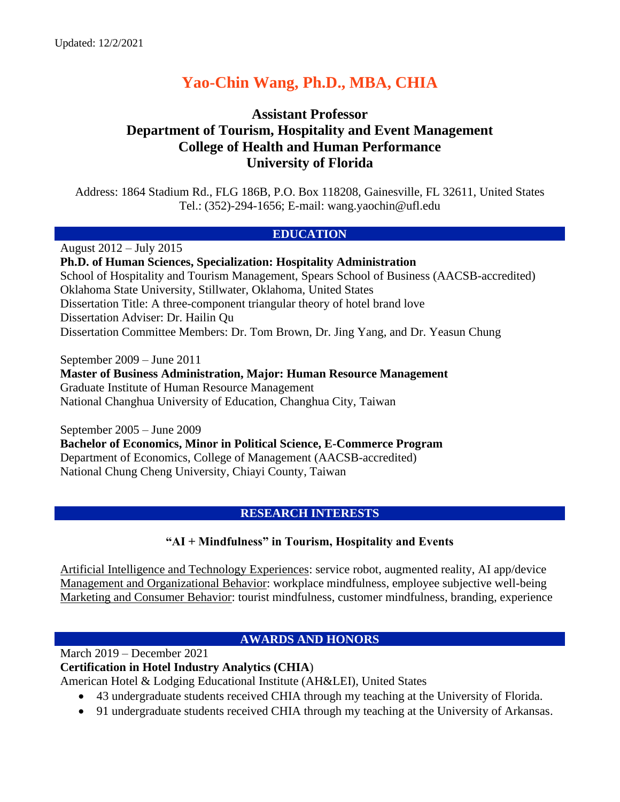# **Yao-Chin Wang, Ph.D., MBA, CHIA**

# **Assistant Professor Department of Tourism, Hospitality and Event Management College of Health and Human Performance University of Florida**

Address: 1864 Stadium Rd., FLG 186B, P.O. Box 118208, Gainesville, FL 32611, United States Tel.: (352)-294-1656; E-mail: wang.yaochin@ufl.edu

#### **EDUCATION**

August 2012 – July 2015 **Ph.D. of Human Sciences, Specialization: Hospitality Administration** School of Hospitality and Tourism Management, Spears School of Business (AACSB-accredited) Oklahoma State University, Stillwater, Oklahoma, United States Dissertation Title: A three-component triangular theory of hotel brand love Dissertation Adviser: Dr. Hailin Qu Dissertation Committee Members: Dr. Tom Brown, Dr. Jing Yang, and Dr. Yeasun Chung

September 2009 – June 2011 **Master of Business Administration, Major: Human Resource Management** Graduate Institute of Human Resource Management National Changhua University of Education, Changhua City, Taiwan

September 2005 – June 2009 **Bachelor of Economics, Minor in Political Science, E-Commerce Program** Department of Economics, College of Management (AACSB-accredited) National Chung Cheng University, Chiayi County, Taiwan

# **RESEARCH INTERESTS**

# **"AI + Mindfulness" in Tourism, Hospitality and Events**

Artificial Intelligence and Technology Experiences: service robot, augmented reality, AI app/device Management and Organizational Behavior: workplace mindfulness, employee subjective well-being Marketing and Consumer Behavior: tourist mindfulness, customer mindfulness, branding, experience

# **AWARDS AND HONORS**

March 2019 – December 2021

**Certification in Hotel Industry Analytics (CHIA**)

American Hotel & Lodging Educational Institute (AH&LEI), United States

- 43 undergraduate students received CHIA through my teaching at the University of Florida.
- 91 undergraduate students received CHIA through my teaching at the University of Arkansas.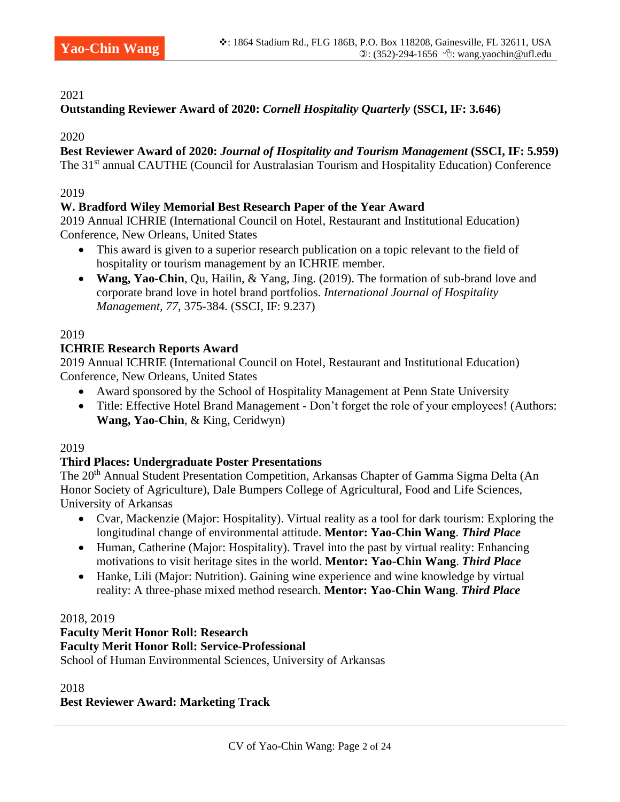#### 2021

# **Outstanding Reviewer Award of 2020:** *Cornell Hospitality Quarterly* **(SSCI, IF: 3.646)**

2020

#### **Best Reviewer Award of 2020:** *Journal of Hospitality and Tourism Management* **(SSCI, IF: 5.959)** The 31<sup>st</sup> annual CAUTHE (Council for Australasian Tourism and Hospitality Education) Conference

#### 2019

# **W. Bradford Wiley Memorial Best Research Paper of the Year Award**

2019 Annual ICHRIE (International Council on Hotel, Restaurant and Institutional Education) Conference, New Orleans, United States

- This award is given to a superior research publication on a topic relevant to the field of hospitality or tourism management by an ICHRIE member.
- **Wang, Yao-Chin**, Qu, Hailin, & Yang, Jing. (2019). The formation of sub-brand love and corporate brand love in hotel brand portfolios. *International Journal of Hospitality Management, 77*, 375-384*.* (SSCI, IF: 9.237)

# 2019

#### **ICHRIE Research Reports Award**

2019 Annual ICHRIE (International Council on Hotel, Restaurant and Institutional Education) Conference, New Orleans, United States

- Award sponsored by the School of Hospitality Management at Penn State University
- Title: Effective Hotel Brand Management Don't forget the role of your employees! (Authors: **Wang, Yao-Chin**, & King, Ceridwyn)

#### 2019

#### **Third Places: Undergraduate Poster Presentations**

The 20<sup>th</sup> Annual Student Presentation Competition, Arkansas Chapter of Gamma Sigma Delta (An Honor Society of Agriculture), Dale Bumpers College of Agricultural, Food and Life Sciences, University of Arkansas

- Cvar, Mackenzie (Major: Hospitality). Virtual reality as a tool for dark tourism: Exploring the longitudinal change of environmental attitude. **Mentor: Yao-Chin Wang**. *Third Place*
- Human, Catherine (Major: Hospitality). Travel into the past by virtual reality: Enhancing motivations to visit heritage sites in the world. **Mentor: Yao-Chin Wang**. *Third Place*
- Hanke, Lili (Major: Nutrition). Gaining wine experience and wine knowledge by virtual reality: A three-phase mixed method research. **Mentor: Yao-Chin Wang**. *Third Place*

#### 2018, 2019

#### **Faculty Merit Honor Roll: Research Faculty Merit Honor Roll: Service-Professional**  School of Human Environmental Sciences, University of Arkansas

2018

# **Best Reviewer Award: Marketing Track**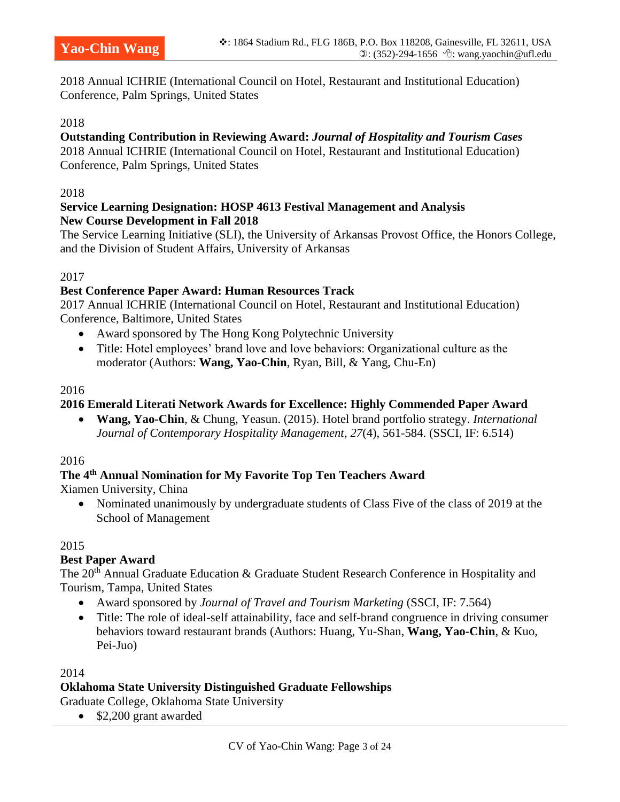2018 Annual ICHRIE (International Council on Hotel, Restaurant and Institutional Education) Conference, Palm Springs, United States

#### 2018

# **Outstanding Contribution in Reviewing Award:** *Journal of Hospitality and Tourism Cases*

2018 Annual ICHRIE (International Council on Hotel, Restaurant and Institutional Education) Conference, Palm Springs, United States

#### 2018

#### **Service Learning Designation: HOSP 4613 Festival Management and Analysis New Course Development in Fall 2018**

The Service Learning Initiative (SLI), the University of Arkansas Provost Office, the Honors College, and the Division of Student Affairs, University of Arkansas

#### 2017

#### **Best Conference Paper Award: Human Resources Track**

2017 Annual ICHRIE (International Council on Hotel, Restaurant and Institutional Education) Conference, Baltimore, United States

- Award sponsored by The Hong Kong Polytechnic University
- Title: Hotel employees' brand love and love behaviors: Organizational culture as the moderator (Authors: **Wang, Yao-Chin**, Ryan, Bill, & Yang, Chu-En)

#### 2016

#### **2016 Emerald Literati Network Awards for Excellence: Highly Commended Paper Award**

• **Wang, Yao-Chin**, & Chung, Yeasun. (2015). Hotel brand portfolio strategy. *International Journal of Contemporary Hospitality Management, 27*(4), 561-584. (SSCI, IF: 6.514)

#### 2016

#### **The 4th Annual Nomination for My Favorite Top Ten Teachers Award**

Xiamen University, China

• Nominated unanimously by undergraduate students of Class Five of the class of 2019 at the School of Management

#### 2015

#### **Best Paper Award**

The 20<sup>th</sup> Annual Graduate Education & Graduate Student Research Conference in Hospitality and Tourism, Tampa, United States

- Award sponsored by *Journal of Travel and Tourism Marketing* (SSCI, IF: 7.564)
- Title: The role of ideal-self attainability, face and self-brand congruence in driving consumer behaviors toward restaurant brands (Authors: Huang, Yu-Shan, **Wang, Yao-Chin**, & Kuo, Pei-Juo)

#### 2014

#### **Oklahoma State University Distinguished Graduate Fellowships**

Graduate College, Oklahoma State University

• \$2,200 grant awarded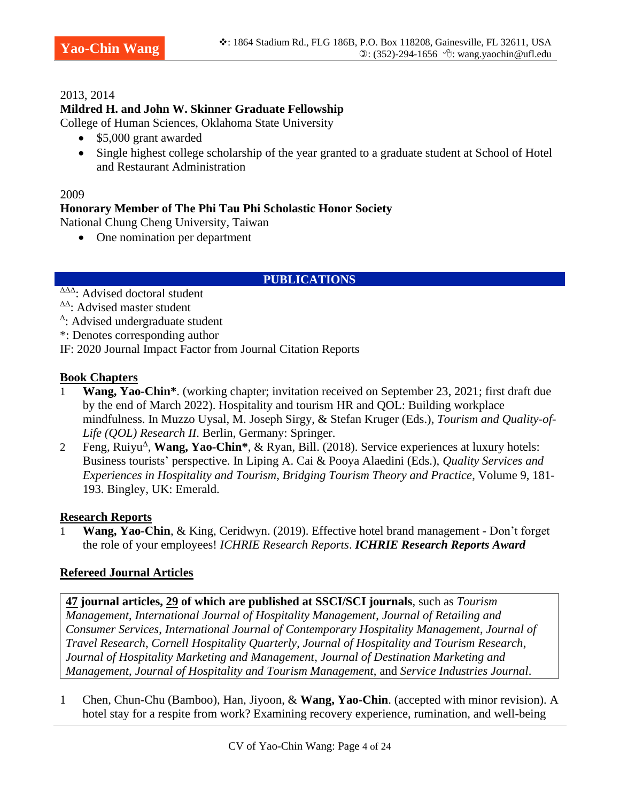#### 2013, 2014

# **Mildred H. and John W. Skinner Graduate Fellowship**

College of Human Sciences, Oklahoma State University

- \$5,000 grant awarded
- Single highest college scholarship of the year granted to a graduate student at School of Hotel and Restaurant Administration

#### 2009

# **Honorary Member of The Phi Tau Phi Scholastic Honor Society**

National Chung Cheng University, Taiwan

• One nomination per department

# **PUBLICATIONS**

- ΔΔΔ: Advised doctoral student
- ΔΔ: Advised master student
- Δ : Advised undergraduate student

\*: Denotes corresponding author

IF: 2020 Journal Impact Factor from Journal Citation Reports

#### **Book Chapters**

- 1 **Wang, Yao-Chin\***. (working chapter; invitation received on September 23, 2021; first draft due by the end of March 2022). Hospitality and tourism HR and QOL: Building workplace mindfulness. In Muzzo Uysal, M. Joseph Sirgy, & Stefan Kruger (Eds.), *Tourism and Quality-of-Life (QOL) Research II*. Berlin, Germany: Springer.
- 1 Feng, Ruiyu<sup>Δ</sup>, **Wang, Yao-Chin<sup>\*</sup>**, & Ryan, Bill. (2018). Service experiences at luxury hotels: Business tourists' perspective. In Liping A. Cai & Pooya Alaedini (Eds.), *Quality Services and Experiences in Hospitality and Tourism*, *Bridging Tourism Theory and Practice*, Volume 9, 181- 193. Bingley, UK: Emerald.

# **Research Reports**

1 **Wang, Yao-Chin**, & King, Ceridwyn. (2019). Effective hotel brand management - Don't forget the role of your employees! *ICHRIE Research Reports*. *ICHRIE Research Reports Award*

# **Refereed Journal Articles**

**47 journal articles, 29 of which are published at SSCI/SCI journals**, such as *Tourism Management*, *International Journal of Hospitality Management*, *Journal of Retailing and Consumer Services*, *International Journal of Contemporary Hospitality Management*, *Journal of Travel Research*, *Cornell Hospitality Quarterly*, *Journal of Hospitality and Tourism Research*, *Journal of Hospitality Marketing and Management*, *Journal of Destination Marketing and Management*, *Journal of Hospitality and Tourism Management*, and *Service Industries Journal*.

1 Chen, Chun-Chu (Bamboo), Han, Jiyoon, & **Wang, Yao-Chin**. (accepted with minor revision). A hotel stay for a respite from work? Examining recovery experience, rumination, and well-being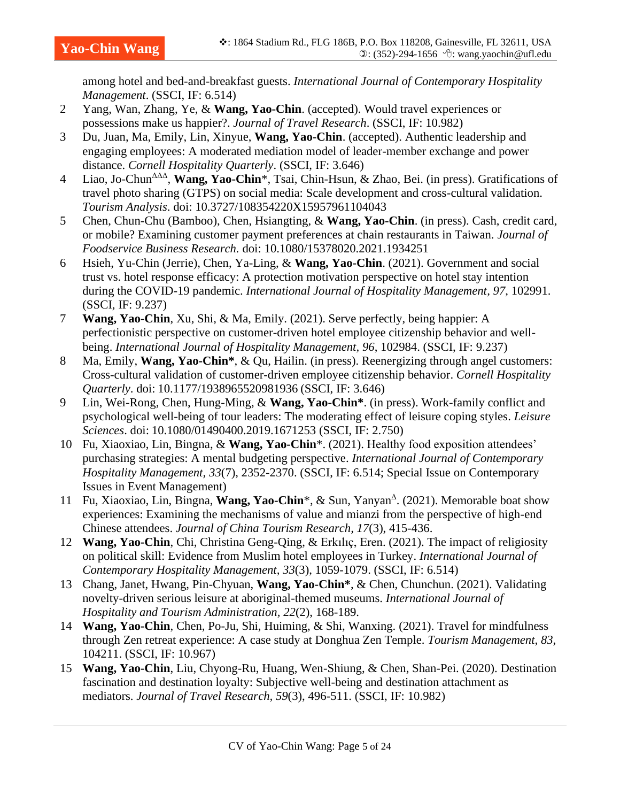among hotel and bed-and-breakfast guests. *International Journal of Contemporary Hospitality Management*. (SSCI, IF: 6.514)

- 2 Yang, Wan, Zhang, Ye, & **Wang, Yao-Chin**. (accepted). Would travel experiences or possessions make us happier?. *Journal of Travel Research*. (SSCI, IF: 10.982)
- 3 Du, Juan, Ma, Emily, Lin, Xinyue, **Wang, Yao-Chin**. (accepted). Authentic leadership and engaging employees: A moderated mediation model of leader-member exchange and power distance. *Cornell Hospitality Quarterly*. (SSCI, IF: 3.646)
- 4 Liao, Jo-Chun<sup>ΔΔΔ</sup>, **Wang, Yao-Chin**<sup>\*</sup>, Tsai, Chin-Hsun, & Zhao, Bei. (in press). Gratifications of travel photo sharing (GTPS) on social media: Scale development and cross-cultural validation. *Tourism Analysis*. doi: 10.3727/108354220X15957961104043
- 5 Chen, Chun-Chu (Bamboo), Chen, Hsiangting, & **Wang, Yao-Chin**. (in press). Cash, credit card, or mobile? Examining customer payment preferences at chain restaurants in Taiwan. *Journal of Foodservice Business Research.* doi: 10.1080/15378020.2021.1934251
- 6 Hsieh, Yu-Chin (Jerrie), Chen, Ya-Ling, & **Wang, Yao-Chin**. (2021). Government and social trust vs. hotel response efficacy: A protection motivation perspective on hotel stay intention during the COVID-19 pandemic. *International Journal of Hospitality Management, 97*, 102991. (SSCI, IF: 9.237)
- 7 **Wang, Yao-Chin**, Xu, Shi, & Ma, Emily. (2021). Serve perfectly, being happier: A perfectionistic perspective on customer-driven hotel employee citizenship behavior and wellbeing. *International Journal of Hospitality Management, 96*, 102984. (SSCI, IF: 9.237)
- 8 Ma, Emily, **Wang, Yao-Chin\***, & Qu, Hailin. (in press). Reenergizing through angel customers: Cross-cultural validation of customer-driven employee citizenship behavior. *Cornell Hospitality Quarterly*. doi: 10.1177/1938965520981936 (SSCI, IF: 3.646)
- 9 Lin, Wei-Rong, Chen, Hung-Ming, & **Wang, Yao-Chin\***. (in press). Work-family conflict and psychological well-being of tour leaders: The moderating effect of leisure coping styles. *Leisure Sciences*. doi: 10.1080/01490400.2019.1671253 (SSCI, IF: 2.750)
- 10 Fu, Xiaoxiao, Lin, Bingna, & **Wang, Yao-Chin**\*. (2021). Healthy food exposition attendees' purchasing strategies: A mental budgeting perspective. *International Journal of Contemporary Hospitality Management, 33*(7), 2352-2370. (SSCI, IF: 6.514; Special Issue on Contemporary Issues in Event Management)
- 11 Fu, Xiaoxiao, Lin, Bingna, Wang, Yao-Chin<sup>\*</sup>, & Sun, Yanyan<sup>Δ</sup>. (2021). Memorable boat show experiences: Examining the mechanisms of value and mianzi from the perspective of high-end Chinese attendees. *Journal of China Tourism Research, 17*(3), 415-436.
- 12 **Wang, Yao-Chin**, Chi, Christina Geng-Qing, & Erkılıç, Eren. (2021). The impact of religiosity on political skill: Evidence from Muslim hotel employees in Turkey. *International Journal of Contemporary Hospitality Management, 33*(3), 1059-1079. (SSCI, IF: 6.514)
- 13 Chang, Janet, Hwang, Pin-Chyuan, **Wang, Yao-Chin\***, & Chen, Chunchun. (2021). Validating novelty-driven serious leisure at aboriginal-themed museums. *International Journal of Hospitality and Tourism Administration, 22*(2), 168-189.
- 14 **Wang, Yao-Chin**, Chen, Po-Ju, Shi, Huiming, & Shi, Wanxing. (2021). Travel for mindfulness through Zen retreat experience: A case study at Donghua Zen Temple. *Tourism Management, 83*, 104211. (SSCI, IF: 10.967)
- 15 **Wang, Yao-Chin**, Liu, Chyong-Ru, Huang, Wen-Shiung, & Chen, Shan-Pei. (2020). Destination fascination and destination loyalty: Subjective well-being and destination attachment as mediators. *Journal of Travel Research, 59*(3), 496-511. (SSCI, IF: 10.982)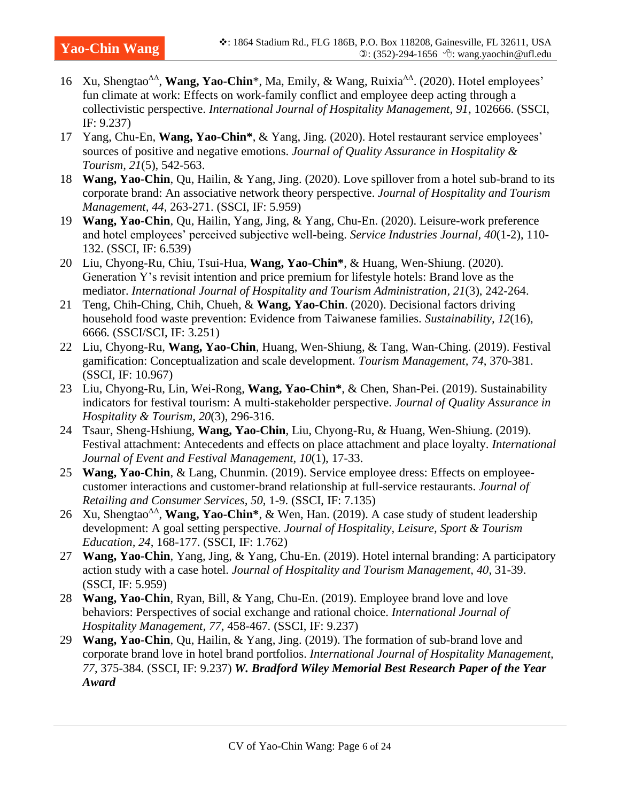- 16 Xu, Shengtao<sup>ΔΔ</sup>, **Wang, Yao-Chin**\*, Ma, Emily, & Wang, Ruixia<sup>ΔΔ</sup>. (2020). Hotel employees' fun climate at work: Effects on work-family conflict and employee deep acting through a collectivistic perspective. *International Journal of Hospitality Management, 91*, 102666. (SSCI, IF: 9.237)
- 17 Yang, Chu-En, **Wang, Yao-Chin\***, & Yang, Jing. (2020). Hotel restaurant service employees' sources of positive and negative emotions. *Journal of Quality Assurance in Hospitality & Tourism, 21*(5), 542-563.
- 18 **Wang, Yao-Chin**, Qu, Hailin, & Yang, Jing. (2020). Love spillover from a hotel sub-brand to its corporate brand: An associative network theory perspective. *Journal of Hospitality and Tourism Management, 44*, 263-271. (SSCI, IF: 5.959)
- 19 **Wang, Yao-Chin**, Qu, Hailin, Yang, Jing, & Yang, Chu-En. (2020). Leisure-work preference and hotel employees' perceived subjective well-being. *Service Industries Journal, 40*(1-2), 110- 132. (SSCI, IF: 6.539)
- 20 Liu, Chyong-Ru, Chiu, Tsui-Hua, **Wang, Yao-Chin\***, & Huang, Wen-Shiung. (2020). Generation Y's revisit intention and price premium for lifestyle hotels: Brand love as the mediator. *International Journal of Hospitality and Tourism Administration, 21*(3), 242-264.
- 21 Teng, Chih-Ching, Chih, Chueh, & **Wang, Yao-Chin**. (2020). Decisional factors driving household food waste prevention: Evidence from Taiwanese families. *Sustainability, 12*(16), 6666*.* (SSCI/SCI, IF: 3.251)
- 22 Liu, Chyong-Ru, **Wang, Yao-Chin**, Huang, Wen-Shiung, & Tang, Wan-Ching. (2019). Festival gamification: Conceptualization and scale development. *Tourism Management, 74*, 370-381. (SSCI, IF: 10.967)
- 23 Liu, Chyong-Ru, Lin, Wei-Rong, **Wang, Yao-Chin\***, & Chen, Shan-Pei. (2019). Sustainability indicators for festival tourism: A multi-stakeholder perspective. *Journal of Quality Assurance in Hospitality & Tourism, 20*(3), 296-316.
- 24 Tsaur, Sheng-Hshiung, **Wang, Yao-Chin**, Liu, Chyong-Ru, & Huang, Wen-Shiung. (2019). Festival attachment: Antecedents and effects on place attachment and place loyalty. *International Journal of Event and Festival Management, 10*(1), 17-33.
- 25 **Wang, Yao-Chin**, & Lang, Chunmin. (2019). Service employee dress: Effects on employeecustomer interactions and customer-brand relationship at full-service restaurants. *Journal of Retailing and Consumer Services, 50*, 1-9. (SSCI, IF: 7.135)
- 26 Xu, Shengtao<sup>ΔΔ</sup>, **Wang, Yao-Chin\***, & Wen, Han. (2019). A case study of student leadership development: A goal setting perspective. *Journal of Hospitality, Leisure, Sport & Tourism Education, 24*, 168-177. (SSCI, IF: 1.762)
- 27 **Wang, Yao-Chin**, Yang, Jing, & Yang, Chu-En. (2019). Hotel internal branding: A participatory action study with a case hotel. *Journal of Hospitality and Tourism Management, 40*, 31-39. (SSCI, IF: 5.959)
- 28 **Wang, Yao-Chin**, Ryan, Bill, & Yang, Chu-En. (2019). Employee brand love and love behaviors: Perspectives of social exchange and rational choice. *International Journal of Hospitality Management, 77*, 458-467*.* (SSCI, IF: 9.237)
- 29 **Wang, Yao-Chin**, Qu, Hailin, & Yang, Jing. (2019). The formation of sub-brand love and corporate brand love in hotel brand portfolios. *International Journal of Hospitality Management, 77*, 375-384*.* (SSCI, IF: 9.237) *W. Bradford Wiley Memorial Best Research Paper of the Year Award*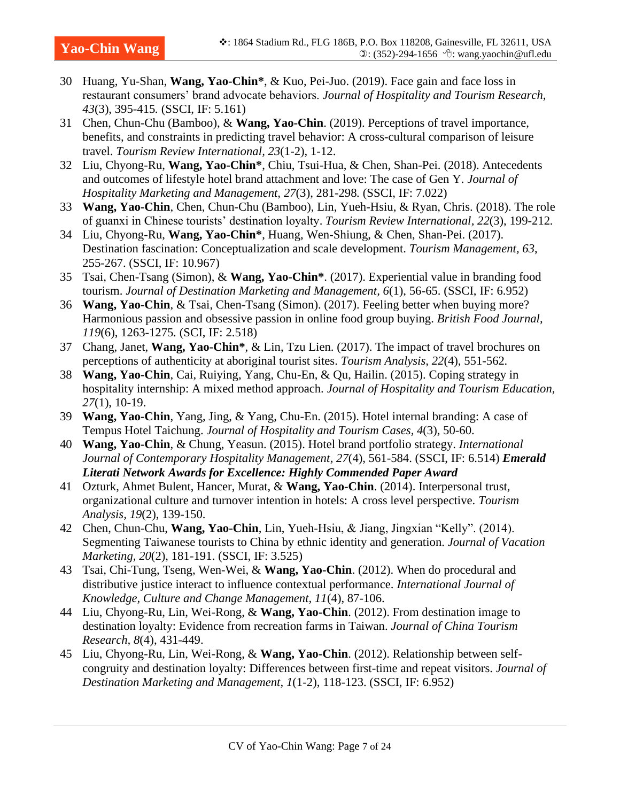- 30 Huang, Yu-Shan, **Wang, Yao-Chin\***, & Kuo, Pei-Juo. (2019). Face gain and face loss in restaurant consumers' brand advocate behaviors. *Journal of Hospitality and Tourism Research, 43*(3), 395-415*.* (SSCI, IF: 5.161)
- 31 Chen, Chun-Chu (Bamboo), & **Wang, Yao-Chin**. (2019). Perceptions of travel importance, benefits, and constraints in predicting travel behavior: A cross-cultural comparison of leisure travel. *Tourism Review International, 23*(1-2), 1-12.
- 32 Liu, Chyong-Ru, **Wang, Yao-Chin\***, Chiu, Tsui-Hua, & Chen, Shan-Pei. (2018). Antecedents and outcomes of lifestyle hotel brand attachment and love: The case of Gen Y. *Journal of Hospitality Marketing and Management, 27*(3), 281-298*.* (SSCI, IF: 7.022)
- 33 **Wang, Yao-Chin**, Chen, Chun-Chu (Bamboo), Lin, Yueh-Hsiu, & Ryan, Chris. (2018). The role of guanxi in Chinese tourists' destination loyalty. *Tourism Review International, 22*(3), 199-212*.*
- 34 Liu, Chyong-Ru, **Wang, Yao-Chin\***, Huang, Wen-Shiung, & Chen, Shan-Pei. (2017). Destination fascination: Conceptualization and scale development. *Tourism Management, 63*, 255-267. (SSCI, IF: 10.967)
- 35 Tsai, Chen-Tsang (Simon), & **Wang, Yao-Chin\***. (2017). Experiential value in branding food tourism. *Journal of Destination Marketing and Management, 6*(1), 56-65. (SSCI, IF: 6.952)
- 36 **Wang, Yao-Chin**, & Tsai, Chen-Tsang (Simon). (2017). Feeling better when buying more? Harmonious passion and obsessive passion in online food group buying. *British Food Journal, 119*(6), 1263-1275*.* (SCI, IF: 2.518)
- 37 Chang, Janet, **Wang, Yao-Chin\***, & Lin, Tzu Lien. (2017). The impact of travel brochures on perceptions of authenticity at aboriginal tourist sites. *Tourism Analysis, 22*(4), 551-562*.*
- 38 **Wang, Yao-Chin**, Cai, Ruiying, Yang, Chu-En, & Qu, Hailin. (2015). Coping strategy in hospitality internship: A mixed method approach. *Journal of Hospitality and Tourism Education, 27*(1), 10-19.
- 39 **Wang, Yao-Chin**, Yang, Jing, & Yang, Chu-En. (2015). Hotel internal branding: A case of Tempus Hotel Taichung. *Journal of Hospitality and Tourism Cases, 4*(3), 50-60.
- 40 **Wang, Yao-Chin**, & Chung, Yeasun. (2015). Hotel brand portfolio strategy. *International Journal of Contemporary Hospitality Management, 27*(4), 561-584. (SSCI, IF: 6.514) *Emerald Literati Network Awards for Excellence: Highly Commended Paper Award*
- 41 Ozturk, Ahmet Bulent, Hancer, Murat, & **Wang, Yao-Chin**. (2014). Interpersonal trust, organizational culture and turnover intention in hotels: A cross level perspective. *Tourism Analysis, 19*(2), 139-150.
- 42 Chen, Chun-Chu, **Wang, Yao-Chin**, Lin, Yueh-Hsiu, & Jiang, Jingxian "Kelly". (2014). Segmenting Taiwanese tourists to China by ethnic identity and generation. *Journal of Vacation Marketing, 20*(2), 181-191. (SSCI, IF: 3.525)
- 43 Tsai, Chi-Tung, Tseng, Wen-Wei, & **Wang, Yao-Chin**. (2012). When do procedural and distributive justice interact to influence contextual performance. *International Journal of Knowledge, Culture and Change Management, 11*(4), 87-106.
- 44 Liu, Chyong-Ru, Lin, Wei-Rong, & **Wang, Yao-Chin**. (2012). From destination image to destination loyalty: Evidence from recreation farms in Taiwan. *Journal of China Tourism Research, 8*(4), 431-449.
- 45 Liu, Chyong-Ru, Lin, Wei-Rong, & **Wang, Yao-Chin**. (2012). Relationship between selfcongruity and destination loyalty: Differences between first-time and repeat visitors. *Journal of Destination Marketing and Management, 1*(1-2), 118-123. (SSCI, IF: 6.952)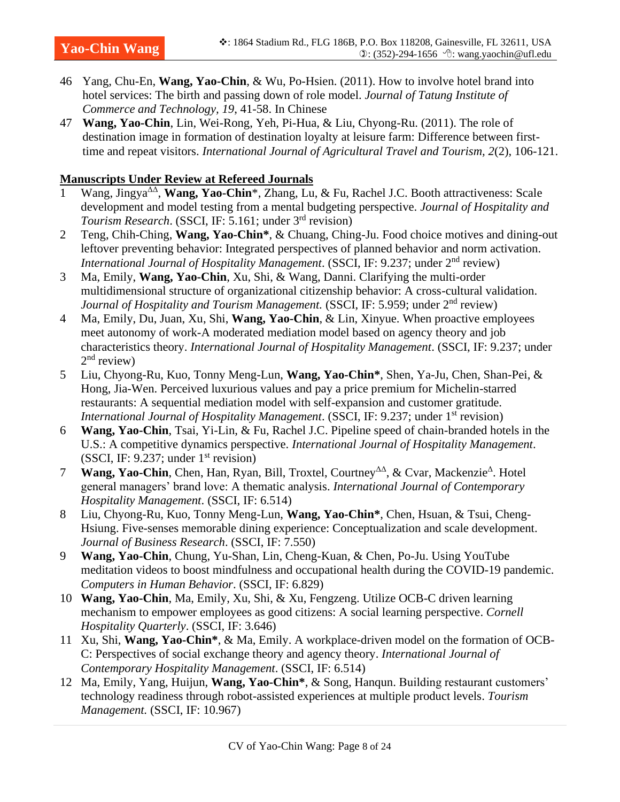- 46 Yang, Chu-En, **Wang, Yao-Chin**, & Wu, Po-Hsien. (2011). How to involve hotel brand into hotel services: The birth and passing down of role model. *Journal of Tatung Institute of Commerce and Technology, 19*, 41-58. In Chinese
- 47 **Wang, Yao-Chin**, Lin, Wei-Rong, Yeh, Pi-Hua, & Liu, Chyong-Ru. (2011). The role of destination image in formation of destination loyalty at leisure farm: Difference between firsttime and repeat visitors. *International Journal of Agricultural Travel and Tourism, 2*(2), 106-121.

#### **Manuscripts Under Review at Refereed Journals**

- 1 Wang, Jingya<sup>ΔΔ</sup>, Wang, Yao-Chin<sup>\*</sup>, Zhang, Lu, & Fu, Rachel J.C. Booth attractiveness: Scale development and model testing from a mental budgeting perspective. *Journal of Hospitality and*  Tourism Research. (SSCI, IF: 5.161; under 3<sup>rd</sup> revision)
- 2 Teng, Chih-Ching, **Wang, Yao-Chin\***, & Chuang, Ching-Ju. Food choice motives and dining-out leftover preventing behavior: Integrated perspectives of planned behavior and norm activation. *International Journal of Hospitality Management.* (SSCI, IF: 9.237; under 2<sup>nd</sup> review)
- 3 Ma, Emily, **Wang, Yao-Chin**, Xu, Shi, & Wang, Danni. Clarifying the multi-order multidimensional structure of organizational citizenship behavior: A cross-cultural validation. *Journal of Hospitality and Tourism Management.* (SSCI, IF: 5.959; under 2<sup>nd</sup> review)
- 4 Ma, Emily, Du, Juan, Xu, Shi, **Wang, Yao-Chin**, & Lin, Xinyue. When proactive employees meet autonomy of work-A moderated mediation model based on agency theory and job characteristics theory. *International Journal of Hospitality Management*. (SSCI, IF: 9.237; under 2<sup>nd</sup> review)
- 5 Liu, Chyong-Ru, Kuo, Tonny Meng-Lun, **Wang, Yao-Chin\***, Shen, Ya-Ju, Chen, Shan-Pei, & Hong, Jia-Wen. Perceived luxurious values and pay a price premium for Michelin-starred restaurants: A sequential mediation model with self-expansion and customer gratitude. *International Journal of Hospitality Management.* (SSCI, IF: 9.237; under 1<sup>st</sup> revision)
- 6 **Wang, Yao-Chin**, Tsai, Yi-Lin, & Fu, Rachel J.C. Pipeline speed of chain-branded hotels in the U.S.: A competitive dynamics perspective. *International Journal of Hospitality Management*. (SSCI, IF: 9.237; under  $1<sup>st</sup>$  revision)
- 7 **Wang, Yao-Chin**, Chen, Han, Ryan, Bill, Troxtel, Courtney<sup>ΔΔ</sup>, & Cvar, Mackenzie<sup>Δ</sup>. Hotel general managers' brand love: A thematic analysis. *International Journal of Contemporary Hospitality Management*. (SSCI, IF: 6.514)
- 8 Liu, Chyong-Ru, Kuo, Tonny Meng-Lun, **Wang, Yao-Chin\***, Chen, Hsuan, & Tsui, Cheng-Hsiung. Five-senses memorable dining experience: Conceptualization and scale development. *Journal of Business Research*. (SSCI, IF: 7.550)
- 9 **Wang, Yao-Chin**, Chung, Yu-Shan, Lin, Cheng-Kuan, & Chen, Po-Ju. Using YouTube meditation videos to boost mindfulness and occupational health during the COVID-19 pandemic. *Computers in Human Behavior*. (SSCI, IF: 6.829)
- 10 **Wang, Yao-Chin**, Ma, Emily, Xu, Shi, & Xu, Fengzeng. Utilize OCB-C driven learning mechanism to empower employees as good citizens: A social learning perspective. *Cornell Hospitality Quarterly*. (SSCI, IF: 3.646)
- 11 Xu, Shi, **Wang, Yao-Chin\***, & Ma, Emily. A workplace-driven model on the formation of OCB-C: Perspectives of social exchange theory and agency theory. *International Journal of Contemporary Hospitality Management*. (SSCI, IF: 6.514)
- 12 Ma, Emily, Yang, Huijun, **Wang, Yao-Chin\***, & Song, Hanqun. Building restaurant customers' technology readiness through robot-assisted experiences at multiple product levels. *Tourism Management.* (SSCI, IF: 10.967)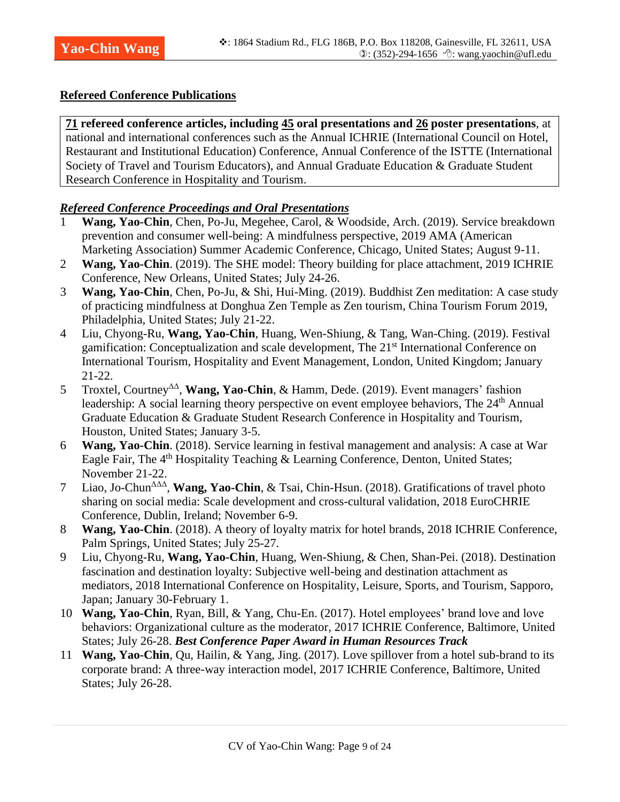#### **Refereed Conference Publications**

**71 refereed conference articles, including 45 oral presentations and 26 poster presentations**, at national and international conferences such as the Annual ICHRIE (International Council on Hotel, Restaurant and Institutional Education) Conference, Annual Conference of the ISTTE (International Society of Travel and Tourism Educators), and Annual Graduate Education & Graduate Student Research Conference in Hospitality and Tourism.

#### *Refereed Conference Proceedings and Oral Presentations*

- 1 **Wang, Yao-Chin**, Chen, Po-Ju, Megehee, Carol, & Woodside, Arch. (2019). Service breakdown prevention and consumer well-being: A mindfulness perspective, 2019 AMA (American Marketing Association) Summer Academic Conference, Chicago, United States; August 9-11.
- 2 **Wang, Yao-Chin**. (2019). The SHE model: Theory building for place attachment, 2019 ICHRIE Conference, New Orleans, United States; July 24-26.
- 3 **Wang, Yao-Chin**, Chen, Po-Ju, & Shi, Hui-Ming. (2019). Buddhist Zen meditation: A case study of practicing mindfulness at Donghua Zen Temple as Zen tourism, China Tourism Forum 2019, Philadelphia, United States; July 21-22.
- 4 Liu, Chyong-Ru, **Wang, Yao-Chin**, Huang, Wen-Shiung, & Tang, Wan-Ching. (2019). Festival gamification: Conceptualization and scale development, The 21<sup>st</sup> International Conference on International Tourism, Hospitality and Event Management, London, United Kingdom; January 21-22.
- 5 Troxtel, Courtney<sup>ΔΔ</sup>, **Wang, Yao-Chin**, & Hamm, Dede. (2019). Event managers' fashion leadership: A social learning theory perspective on event employee behaviors, The 24<sup>th</sup> Annual Graduate Education & Graduate Student Research Conference in Hospitality and Tourism, Houston, United States; January 3-5.
- 6 **Wang, Yao-Chin**. (2018). Service learning in festival management and analysis: A case at War Eagle Fair, The 4<sup>th</sup> Hospitality Teaching & Learning Conference, Denton, United States; November 21-22.
- 7 Liao, Jo-Chun<sup>ΔΔΔ</sup>, Wang, Yao-Chin, & Tsai, Chin-Hsun. (2018). Gratifications of travel photo sharing on social media: Scale development and cross-cultural validation, 2018 EuroCHRIE Conference, Dublin, Ireland; November 6-9.
- 8 **Wang, Yao-Chin**. (2018). A theory of loyalty matrix for hotel brands, 2018 ICHRIE Conference, Palm Springs, United States; July 25-27.
- 9 Liu, Chyong-Ru, **Wang, Yao-Chin**, Huang, Wen-Shiung, & Chen, Shan-Pei. (2018). Destination fascination and destination loyalty: Subjective well-being and destination attachment as mediators, 2018 International Conference on Hospitality, Leisure, Sports, and Tourism, Sapporo, Japan; January 30-February 1.
- 10 **Wang, Yao-Chin**, Ryan, Bill, & Yang, Chu-En. (2017). Hotel employees' brand love and love behaviors: Organizational culture as the moderator, 2017 ICHRIE Conference, Baltimore, United States; July 26-28. *Best Conference Paper Award in Human Resources Track*
- 11 **Wang, Yao-Chin**, Qu, Hailin, & Yang, Jing. (2017). Love spillover from a hotel sub-brand to its corporate brand: A three-way interaction model, 2017 ICHRIE Conference, Baltimore, United States; July 26-28.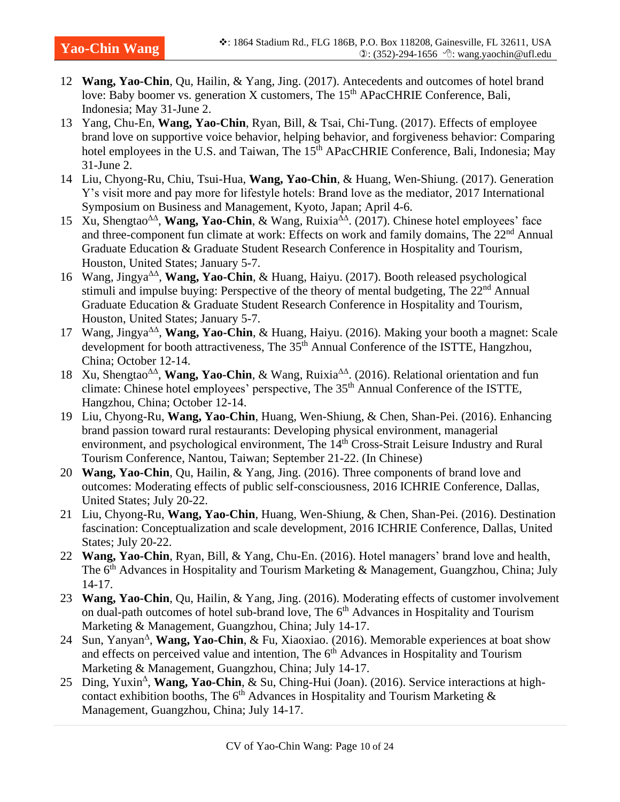- 12 **Wang, Yao-Chin**, Qu, Hailin, & Yang, Jing. (2017). Antecedents and outcomes of hotel brand love: Baby boomer vs. generation X customers, The 15<sup>th</sup> APacCHRIE Conference, Bali, Indonesia; May 31-June 2.
- 13 Yang, Chu-En, **Wang, Yao-Chin**, Ryan, Bill, & Tsai, Chi-Tung. (2017). Effects of employee brand love on supportive voice behavior, helping behavior, and forgiveness behavior: Comparing hotel employees in the U.S. and Taiwan, The 15<sup>th</sup> APacCHRIE Conference, Bali, Indonesia; May 31-June 2.
- 14 Liu, Chyong-Ru, Chiu, Tsui-Hua, **Wang, Yao-Chin**, & Huang, Wen-Shiung. (2017). Generation Y's visit more and pay more for lifestyle hotels: Brand love as the mediator, 2017 International Symposium on Business and Management, Kyoto, Japan; April 4-6.
- 15 Xu, Shengtao<sup>ΔΔ</sup>, **Wang, Yao-Chin**, & Wang, Ruixia<sup>ΔΔ</sup>. (2017). Chinese hotel employees' face and three-component fun climate at work: Effects on work and family domains, The 22<sup>nd</sup> Annual Graduate Education & Graduate Student Research Conference in Hospitality and Tourism, Houston, United States; January 5-7.
- 16 Wang, Jingya<sup>ΔΔ</sup>, Wang, Yao-Chin, & Huang, Haiyu. (2017). Booth released psychological stimuli and impulse buying: Perspective of the theory of mental budgeting, The 22<sup>nd</sup> Annual Graduate Education & Graduate Student Research Conference in Hospitality and Tourism, Houston, United States; January 5-7.
- 17 Wang, Jingya<sup>ΔΔ</sup>, Wang, Yao-Chin, & Huang, Haiyu. (2016). Making your booth a magnet: Scale development for booth attractiveness. The 35<sup>th</sup> Annual Conference of the ISTTE, Hangzhou, China; October 12-14.
- 18 Xu, Shengtao<sup>ΔΔ</sup>, **Wang, Yao-Chin**, & Wang, Ruixia<sup>ΔΔ</sup>. (2016). Relational orientation and fun climate: Chinese hotel employees' perspective, The 35<sup>th</sup> Annual Conference of the ISTTE, Hangzhou, China; October 12-14.
- 19 Liu, Chyong-Ru, **Wang, Yao-Chin**, Huang, Wen-Shiung, & Chen, Shan-Pei. (2016). Enhancing brand passion toward rural restaurants: Developing physical environment, managerial environment, and psychological environment, The 14<sup>th</sup> Cross-Strait Leisure Industry and Rural Tourism Conference, Nantou, Taiwan; September 21-22. (In Chinese)
- 20 **Wang, Yao-Chin**, Qu, Hailin, & Yang, Jing. (2016). Three components of brand love and outcomes: Moderating effects of public self-consciousness, 2016 ICHRIE Conference, Dallas, United States; July 20-22.
- 21 Liu, Chyong-Ru, **Wang, Yao-Chin**, Huang, Wen-Shiung, & Chen, Shan-Pei. (2016). Destination fascination: Conceptualization and scale development, 2016 ICHRIE Conference, Dallas, United States; July 20-22.
- 22 **Wang, Yao-Chin**, Ryan, Bill, & Yang, Chu-En. (2016). Hotel managers' brand love and health, The 6<sup>th</sup> Advances in Hospitality and Tourism Marketing & Management, Guangzhou, China; July 14-17.
- 23 **Wang, Yao-Chin**, Qu, Hailin, & Yang, Jing. (2016). Moderating effects of customer involvement on dual-path outcomes of hotel sub-brand love, The 6<sup>th</sup> Advances in Hospitality and Tourism Marketing & Management, Guangzhou, China; July 14-17.
- 24 Sun, Yanyan<sup>Δ</sup>, Wang, Yao-Chin, & Fu, Xiaoxiao. (2016). Memorable experiences at boat show and effects on perceived value and intention, The 6<sup>th</sup> Advances in Hospitality and Tourism Marketing & Management, Guangzhou, China; July 14-17.
- 25 Ding, Yuxin<sup>∆</sup>, Wang, Yao-Chin, & Su, Ching-Hui (Joan). (2016). Service interactions at highcontact exhibition booths, The  $6<sup>th</sup>$  Advances in Hospitality and Tourism Marketing  $\&$ Management, Guangzhou, China; July 14-17.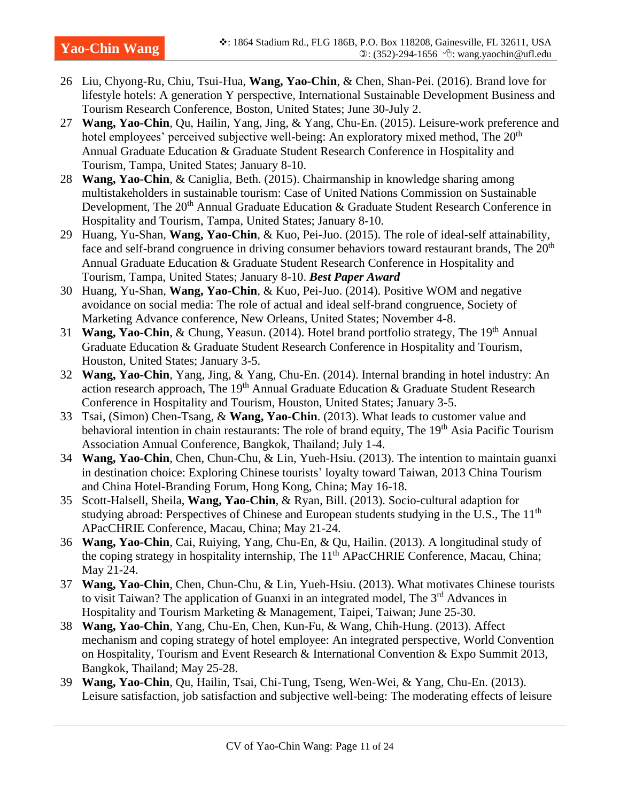- 26 Liu, Chyong-Ru, Chiu, Tsui-Hua, **Wang, Yao-Chin**, & Chen, Shan-Pei. (2016). Brand love for lifestyle hotels: A generation Y perspective, International Sustainable Development Business and Tourism Research Conference, Boston, United States; June 30-July 2.
- 27 **Wang, Yao-Chin**, Qu, Hailin, Yang, Jing, & Yang, Chu-En. (2015). Leisure-work preference and hotel employees' perceived subjective well-being: An exploratory mixed method, The  $20<sup>th</sup>$ Annual Graduate Education & Graduate Student Research Conference in Hospitality and Tourism, Tampa, United States; January 8-10.
- 28 **Wang, Yao-Chin**, & Caniglia, Beth. (2015). Chairmanship in knowledge sharing among multistakeholders in sustainable tourism: Case of United Nations Commission on Sustainable Development, The 20<sup>th</sup> Annual Graduate Education & Graduate Student Research Conference in Hospitality and Tourism, Tampa, United States; January 8-10.
- 29 Huang, Yu-Shan, **Wang, Yao-Chin**, & Kuo, Pei-Juo. (2015). The role of ideal-self attainability, face and self-brand congruence in driving consumer behaviors toward restaurant brands, The 20<sup>th</sup> Annual Graduate Education & Graduate Student Research Conference in Hospitality and Tourism, Tampa, United States; January 8-10. *Best Paper Award*
- 30 Huang, Yu-Shan, **Wang, Yao-Chin**, & Kuo, Pei-Juo. (2014). Positive WOM and negative avoidance on social media: The role of actual and ideal self-brand congruence, Society of Marketing Advance conference, New Orleans, United States; November 4-8.
- 31 **Wang, Yao-Chin**, & Chung, Yeasun. (2014). Hotel brand portfolio strategy, The 19th Annual Graduate Education & Graduate Student Research Conference in Hospitality and Tourism, Houston, United States; January 3-5.
- 32 **Wang, Yao-Chin**, Yang, Jing, & Yang, Chu-En. (2014). Internal branding in hotel industry: An action research approach, The 19th Annual Graduate Education & Graduate Student Research Conference in Hospitality and Tourism, Houston, United States; January 3-5.
- 33 Tsai, (Simon) Chen-Tsang, & **Wang, Yao-Chin**. (2013). What leads to customer value and behavioral intention in chain restaurants: The role of brand equity, The 19<sup>th</sup> Asia Pacific Tourism Association Annual Conference, Bangkok, Thailand; July 1-4.
- 34 **Wang, Yao-Chin**, Chen, Chun-Chu, & Lin, Yueh-Hsiu. (2013). The intention to maintain guanxi in destination choice: Exploring Chinese tourists' loyalty toward Taiwan, 2013 China Tourism and China Hotel-Branding Forum, Hong Kong, China; May 16-18.
- 35 Scott-Halsell, Sheila, **Wang, Yao-Chin**, & Ryan, Bill. (2013). Socio-cultural adaption for studying abroad: Perspectives of Chinese and European students studying in the U.S., The 11<sup>th</sup> APacCHRIE Conference, Macau, China; May 21-24.
- 36 **Wang, Yao-Chin**, Cai, Ruiying, Yang, Chu-En, & Qu, Hailin. (2013). A longitudinal study of the coping strategy in hospitality internship, The 11<sup>th</sup> APacCHRIE Conference, Macau, China; May 21-24.
- 37 **Wang, Yao-Chin**, Chen, Chun-Chu, & Lin, Yueh-Hsiu. (2013). What motivates Chinese tourists to visit Taiwan? The application of Guanxi in an integrated model, The 3<sup>rd</sup> Advances in Hospitality and Tourism Marketing & Management, Taipei, Taiwan; June 25-30.
- 38 **Wang, Yao-Chin**, Yang, Chu-En, Chen, Kun-Fu, & Wang, Chih-Hung. (2013). Affect mechanism and coping strategy of hotel employee: An integrated perspective, World Convention on Hospitality, Tourism and Event Research & International Convention & Expo Summit 2013, Bangkok, Thailand; May 25-28.
- 39 **Wang, Yao-Chin**, Qu, Hailin, Tsai, Chi-Tung, Tseng, Wen-Wei, & Yang, Chu-En. (2013). Leisure satisfaction, job satisfaction and subjective well-being: The moderating effects of leisure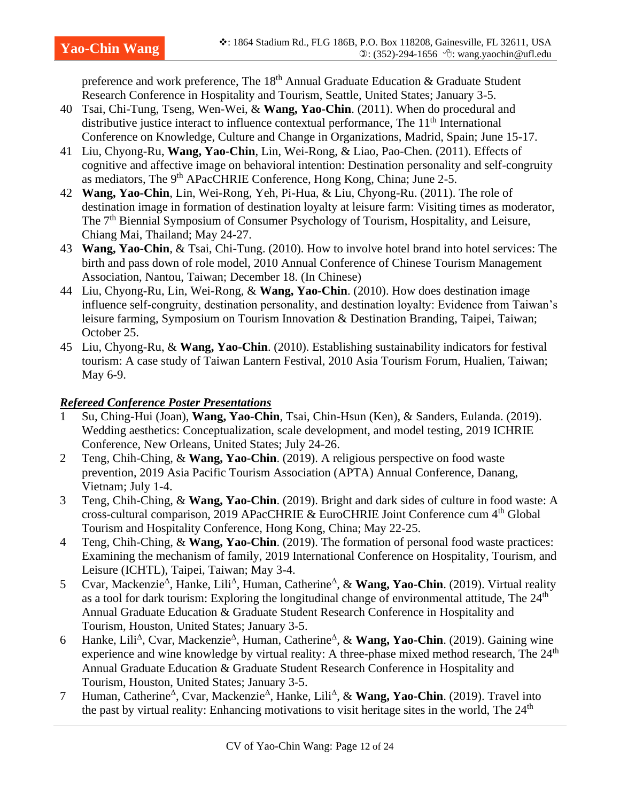preference and work preference, The 18<sup>th</sup> Annual Graduate Education & Graduate Student Research Conference in Hospitality and Tourism, Seattle, United States; January 3-5.

- 40 Tsai, Chi-Tung, Tseng, Wen-Wei, & **Wang, Yao-Chin**. (2011). When do procedural and distributive justice interact to influence contextual performance. The  $11<sup>th</sup>$  International Conference on Knowledge, Culture and Change in Organizations, Madrid, Spain; June 15-17.
- 41 Liu, Chyong-Ru, **Wang, Yao-Chin**, Lin, Wei-Rong, & Liao, Pao-Chen. (2011). Effects of cognitive and affective image on behavioral intention: Destination personality and self-congruity as mediators, The 9<sup>th</sup> APacCHRIE Conference, Hong Kong, China; June 2-5.
- 42 **Wang, Yao-Chin**, Lin, Wei-Rong, Yeh, Pi-Hua, & Liu, Chyong-Ru. (2011). The role of destination image in formation of destination loyalty at leisure farm: Visiting times as moderator, The 7<sup>th</sup> Biennial Symposium of Consumer Psychology of Tourism, Hospitality, and Leisure, Chiang Mai, Thailand; May 24-27.
- 43 **Wang, Yao-Chin**, & Tsai, Chi-Tung. (2010). How to involve hotel brand into hotel services: The birth and pass down of role model, 2010 Annual Conference of Chinese Tourism Management Association, Nantou, Taiwan; December 18. (In Chinese)
- 44 Liu, Chyong-Ru, Lin, Wei-Rong, & **Wang, Yao-Chin**. (2010). How does destination image influence self-congruity, destination personality, and destination loyalty: Evidence from Taiwan's leisure farming, Symposium on Tourism Innovation & Destination Branding, Taipei, Taiwan; October 25.
- 45 Liu, Chyong-Ru, & **Wang, Yao-Chin**. (2010). Establishing sustainability indicators for festival tourism: A case study of Taiwan Lantern Festival, 2010 Asia Tourism Forum, Hualien, Taiwan; May 6-9.

# *Refereed Conference Poster Presentations*

- 1 Su, Ching-Hui (Joan), **Wang, Yao-Chin**, Tsai, Chin-Hsun (Ken), & Sanders, Eulanda. (2019). Wedding aesthetics: Conceptualization, scale development, and model testing, 2019 ICHRIE Conference, New Orleans, United States; July 24-26.
- 2 Teng, Chih-Ching, & **Wang, Yao-Chin**. (2019). A religious perspective on food waste prevention, 2019 Asia Pacific Tourism Association (APTA) Annual Conference, Danang, Vietnam; July 1-4.
- 3 Teng, Chih-Ching, & **Wang, Yao-Chin**. (2019). Bright and dark sides of culture in food waste: A cross-cultural comparison, 2019 APacCHRIE & EuroCHRIE Joint Conference cum 4th Global Tourism and Hospitality Conference, Hong Kong, China; May 22-25.
- 4 Teng, Chih-Ching, & **Wang, Yao-Chin**. (2019). The formation of personal food waste practices: Examining the mechanism of family, 2019 International Conference on Hospitality, Tourism, and Leisure (ICHTL), Taipei, Taiwan; May 3-4.
- 5 Cvar, Mackenzie<sup> $\triangle$ </sup>, Hanke, Lili<sup> $\triangle$ </sup>, Human, Catherine<sup> $\triangle$ </sup>, & **Wang, Yao-Chin**. (2019). Virtual reality as a tool for dark tourism: Exploring the longitudinal change of environmental attitude, The 24<sup>th</sup> Annual Graduate Education & Graduate Student Research Conference in Hospitality and Tourism, Houston, United States; January 3-5.
- 6 Hanke, Lili<sup>Δ</sup>, Cvar, Mackenzie<sup>Δ</sup>, Human, Catherine<sup>Δ</sup>, & Wang, Yao-Chin. (2019). Gaining wine experience and wine knowledge by virtual reality: A three-phase mixed method research, The 24<sup>th</sup> Annual Graduate Education & Graduate Student Research Conference in Hospitality and Tourism, Houston, United States; January 3-5.
- 7 Human, Catherine<sup> $\triangle$ </sup>, Cvar, Mackenzie<sup> $\triangle$ </sup>, Hanke, Lili<sup> $\triangle$ </sup>, & **Wang, Yao-Chin**. (2019). Travel into the past by virtual reality: Enhancing motivations to visit heritage sites in the world, The 24<sup>th</sup>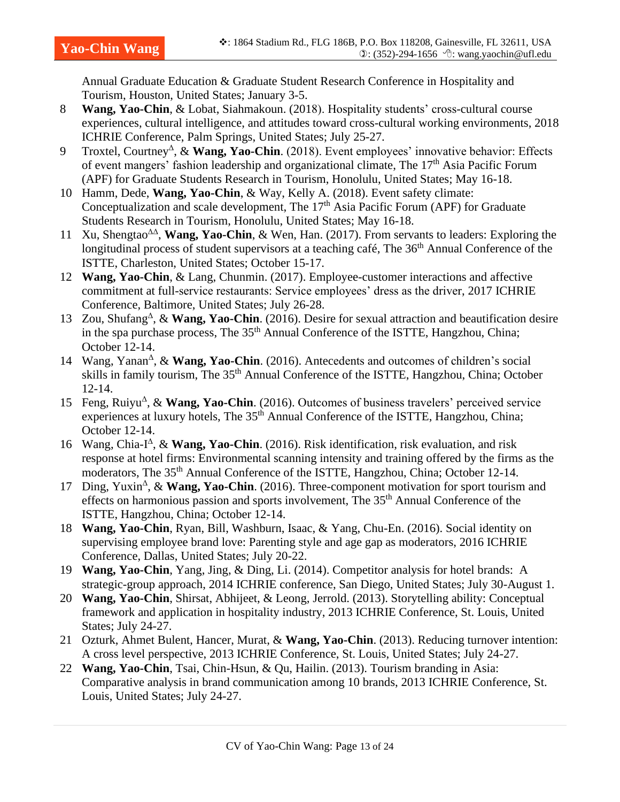Annual Graduate Education & Graduate Student Research Conference in Hospitality and Tourism, Houston, United States; January 3-5.

- 8 **Wang, Yao-Chin**, & Lobat, Siahmakoun. (2018). Hospitality students' cross-cultural course experiences, cultural intelligence, and attitudes toward cross-cultural working environments, 2018 ICHRIE Conference, Palm Springs, United States; July 25-27.
- 9 Troxtel, Courtney<sup>Δ</sup>, & Wang, Yao-Chin. (2018). Event employees' innovative behavior: Effects of event mangers' fashion leadership and organizational climate, The  $17<sup>th</sup>$  Asia Pacific Forum (APF) for Graduate Students Research in Tourism, Honolulu, United States; May 16-18.
- 10 Hamm, Dede, **Wang, Yao-Chin**, & Way, Kelly A. (2018). Event safety climate: Conceptualization and scale development, The  $17<sup>th</sup>$  Asia Pacific Forum (APF) for Graduate Students Research in Tourism, Honolulu, United States; May 16-18.
- 11 Xu, Shengtao<sup>ΔΔ</sup>, **Wang, Yao-Chin**, & Wen, Han. (2017). From servants to leaders: Exploring the longitudinal process of student supervisors at a teaching café, The 36<sup>th</sup> Annual Conference of the ISTTE, Charleston, United States; October 15-17.
- 12 **Wang, Yao-Chin**, & Lang, Chunmin. (2017). Employee-customer interactions and affective commitment at full-service restaurants: Service employees' dress as the driver, 2017 ICHRIE Conference, Baltimore, United States; July 26-28.
- 13 Zou, Shufang<sup> $\triangle$ </sup>, & Wang, Yao-Chin. (2016). Desire for sexual attraction and beautification desire in the spa purchase process, The 35<sup>th</sup> Annual Conference of the ISTTE, Hangzhou, China; October 12-14.
- 14 Wang, Yanan<sup>∆</sup>, & Wang, Yao-Chin. (2016). Antecedents and outcomes of children's social skills in family tourism, The 35<sup>th</sup> Annual Conference of the ISTTE, Hangzhou, China; October 12-14.
- 15 Feng, Ruiyu<sup>A</sup>, & Wang, Yao-Chin. (2016). Outcomes of business travelers' perceived service experiences at luxury hotels, The 35<sup>th</sup> Annual Conference of the ISTTE, Hangzhou, China; October 12-14.
- 16 Wang, Chia-I<sup> $\triangle$ </sup>, & Wang, Yao-Chin. (2016). Risk identification, risk evaluation, and risk response at hotel firms: Environmental scanning intensity and training offered by the firms as the moderators, The 35<sup>th</sup> Annual Conference of the ISTTE, Hangzhou, China; October 12-14.
- 17 Ding, Yuxin<sup>∆</sup>, & Wang, Yao-Chin. (2016). Three-component motivation for sport tourism and effects on harmonious passion and sports involvement, The 35th Annual Conference of the ISTTE, Hangzhou, China; October 12-14.
- 18 **Wang, Yao-Chin**, Ryan, Bill, Washburn, Isaac, & Yang, Chu-En. (2016). Social identity on supervising employee brand love: Parenting style and age gap as moderators, 2016 ICHRIE Conference, Dallas, United States; July 20-22.
- 19 **Wang, Yao-Chin**, Yang, Jing, & Ding, Li. (2014). Competitor analysis for hotel brands: A strategic-group approach, 2014 ICHRIE conference, San Diego, United States; July 30-August 1.
- 20 **Wang, Yao-Chin**, Shirsat, Abhijeet, & Leong, Jerrold. (2013). Storytelling ability: Conceptual framework and application in hospitality industry, 2013 ICHRIE Conference, St. Louis, United States; July 24-27.
- 21 Ozturk, Ahmet Bulent, Hancer, Murat, & **Wang, Yao-Chin**. (2013). Reducing turnover intention: A cross level perspective, 2013 ICHRIE Conference, St. Louis, United States; July 24-27.
- 22 **Wang, Yao-Chin**, Tsai, Chin-Hsun, & Qu, Hailin. (2013). Tourism branding in Asia: Comparative analysis in brand communication among 10 brands, 2013 ICHRIE Conference, St. Louis, United States; July 24-27.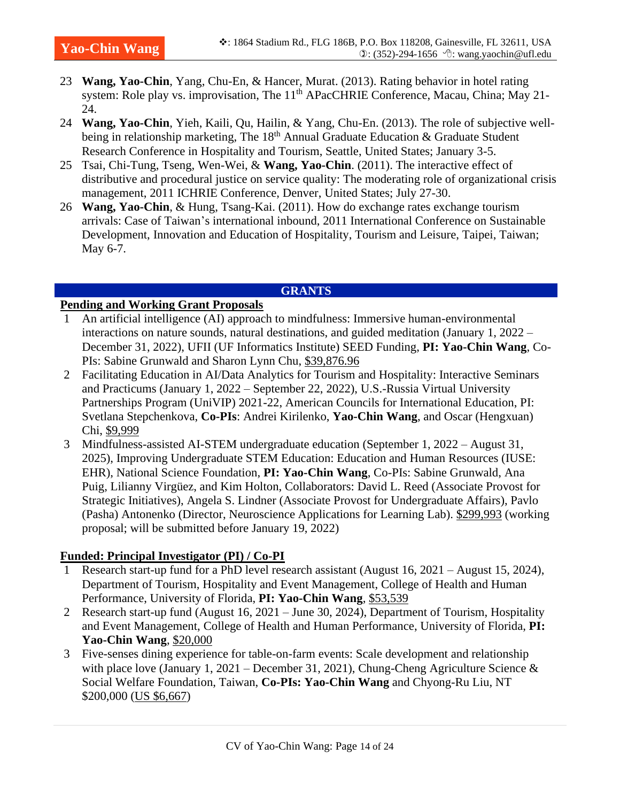- 23 **Wang, Yao-Chin**, Yang, Chu-En, & Hancer, Murat. (2013). Rating behavior in hotel rating system: Role play vs. improvisation, The 11<sup>th</sup> APacCHRIE Conference, Macau, China; May 21-24.
- 24 **Wang, Yao-Chin**, Yieh, Kaili, Qu, Hailin, & Yang, Chu-En. (2013). The role of subjective wellbeing in relationship marketing, The  $18<sup>th</sup>$  Annual Graduate Education & Graduate Student Research Conference in Hospitality and Tourism, Seattle, United States; January 3-5.
- 25 Tsai, Chi-Tung, Tseng, Wen-Wei, & **Wang, Yao-Chin**. (2011). The interactive effect of distributive and procedural justice on service quality: The moderating role of organizational crisis management, 2011 ICHRIE Conference, Denver, United States; July 27-30.
- 26 **Wang, Yao-Chin**, & Hung, Tsang-Kai. (2011). How do exchange rates exchange tourism arrivals: Case of Taiwan's international inbound, 2011 International Conference on Sustainable Development, Innovation and Education of Hospitality, Tourism and Leisure, Taipei, Taiwan; May 6-7.

#### **GRANTS**

#### **Pending and Working Grant Proposals**

- 1 An artificial intelligence (AI) approach to mindfulness: Immersive human-environmental interactions on nature sounds, natural destinations, and guided meditation (January 1, 2022 – December 31, 2022), UFII (UF Informatics Institute) SEED Funding, **PI: Yao-Chin Wang**, Co-PIs: Sabine Grunwald and Sharon Lynn Chu, \$39,876.96
- 2 Facilitating Education in AI/Data Analytics for Tourism and Hospitality: Interactive Seminars and Practicums (January 1, 2022 – September 22, 2022), U.S.-Russia Virtual University Partnerships Program (UniVIP) 2021-22, American Councils for International Education, PI: Svetlana Stepchenkova, **Co-PIs**: Andrei Kirilenko, **Yao-Chin Wang**, and Oscar (Hengxuan) Chi, \$9,999
- 3 Mindfulness-assisted AI-STEM undergraduate education (September 1, 2022 August 31, 2025), Improving Undergraduate STEM Education: Education and Human Resources (IUSE: EHR), National Science Foundation, **PI: Yao-Chin Wang**, Co-PIs: Sabine Grunwald, Ana Puig, Lilianny Virgüez, and Kim Holton, Collaborators: David L. Reed (Associate Provost for Strategic Initiatives), Angela S. Lindner (Associate Provost for Undergraduate Affairs), Pavlo (Pasha) Antonenko (Director, Neuroscience Applications for Learning Lab). \$299,993 (working proposal; will be submitted before January 19, 2022)

# **Funded: Principal Investigator (PI) / Co-PI**

- 1 Research start-up fund for a PhD level research assistant (August 16, 2021 August 15, 2024), Department of Tourism, Hospitality and Event Management, College of Health and Human Performance, University of Florida, **PI: Yao-Chin Wang**, \$53,539
- 2 Research start-up fund (August 16, 2021 June 30, 2024), Department of Tourism, Hospitality and Event Management, College of Health and Human Performance, University of Florida, **PI: Yao-Chin Wang**, \$20,000
- 3 Five-senses dining experience for table-on-farm events: Scale development and relationship with place love (January 1, 2021 – December 31, 2021), Chung-Cheng Agriculture Science  $\&$ Social Welfare Foundation, Taiwan, **Co-PIs: Yao-Chin Wang** and Chyong-Ru Liu, NT \$200,000 (US \$6,667)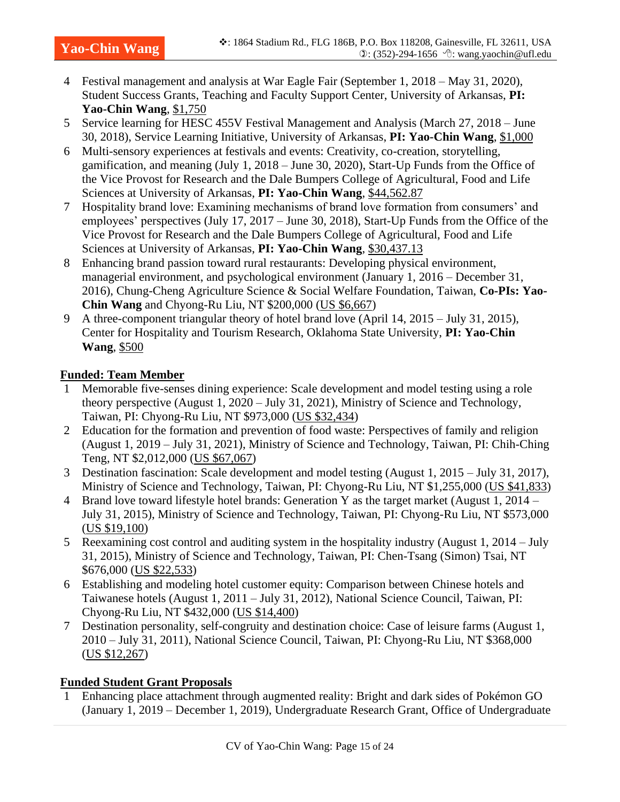- 4 Festival management and analysis at War Eagle Fair (September 1, 2018 May 31, 2020), Student Success Grants, Teaching and Faculty Support Center, University of Arkansas, **PI: Yao-Chin Wang**, \$1,750
- 5 Service learning for HESC 455V Festival Management and Analysis (March 27, 2018 June 30, 2018), Service Learning Initiative, University of Arkansas, **PI: Yao-Chin Wang**, \$1,000
- 6 Multi-sensory experiences at festivals and events: Creativity, co-creation, storytelling, gamification, and meaning (July 1, 2018 – June 30, 2020), Start-Up Funds from the Office of the Vice Provost for Research and the Dale Bumpers College of Agricultural, Food and Life Sciences at University of Arkansas, **PI: Yao-Chin Wang**, \$44,562.87
- 7 Hospitality brand love: Examining mechanisms of brand love formation from consumers' and employees' perspectives (July 17, 2017 – June 30, 2018), Start-Up Funds from the Office of the Vice Provost for Research and the Dale Bumpers College of Agricultural, Food and Life Sciences at University of Arkansas, **PI: Yao-Chin Wang**, \$30,437.13
- 8 Enhancing brand passion toward rural restaurants: Developing physical environment, managerial environment, and psychological environment (January 1, 2016 – December 31, 2016), Chung-Cheng Agriculture Science & Social Welfare Foundation, Taiwan, **Co-PIs: Yao-Chin Wang** and Chyong-Ru Liu, NT \$200,000 (US \$6,667)
- 9 A three-component triangular theory of hotel brand love (April 14, 2015 July 31, 2015), Center for Hospitality and Tourism Research, Oklahoma State University, **PI: Yao-Chin Wang**, \$500

# **Funded: Team Member**

- 1 Memorable five-senses dining experience: Scale development and model testing using a role theory perspective (August 1, 2020 – July 31, 2021), Ministry of Science and Technology, Taiwan, PI: Chyong-Ru Liu, NT \$973,000 (US \$32,434)
- 2 Education for the formation and prevention of food waste: Perspectives of family and religion (August 1, 2019 – July 31, 2021), Ministry of Science and Technology, Taiwan, PI: Chih-Ching Teng, NT \$2,012,000 (US \$67,067)
- 3 Destination fascination: Scale development and model testing (August 1, 2015 July 31, 2017), Ministry of Science and Technology, Taiwan, PI: Chyong-Ru Liu, NT \$1,255,000 (US \$41,833)
- 4 Brand love toward lifestyle hotel brands: Generation Y as the target market (August 1, 2014 July 31, 2015), Ministry of Science and Technology, Taiwan, PI: Chyong-Ru Liu, NT \$573,000 (US \$19,100)
- 5 Reexamining cost control and auditing system in the hospitality industry (August 1, 2014 July 31, 2015), Ministry of Science and Technology, Taiwan, PI: Chen-Tsang (Simon) Tsai, NT \$676,000 (US \$22,533)
- 6 Establishing and modeling hotel customer equity: Comparison between Chinese hotels and Taiwanese hotels (August 1, 2011 – July 31, 2012), National Science Council, Taiwan, PI: Chyong-Ru Liu, NT \$432,000 (US \$14,400)
- 7 Destination personality, self-congruity and destination choice: Case of leisure farms (August 1, 2010 – July 31, 2011), National Science Council, Taiwan, PI: Chyong-Ru Liu, NT \$368,000 (US \$12,267)

# **Funded Student Grant Proposals**

1 Enhancing place attachment through augmented reality: Bright and dark sides of Pokémon GO (January 1, 2019 – December 1, 2019), Undergraduate Research Grant, Office of Undergraduate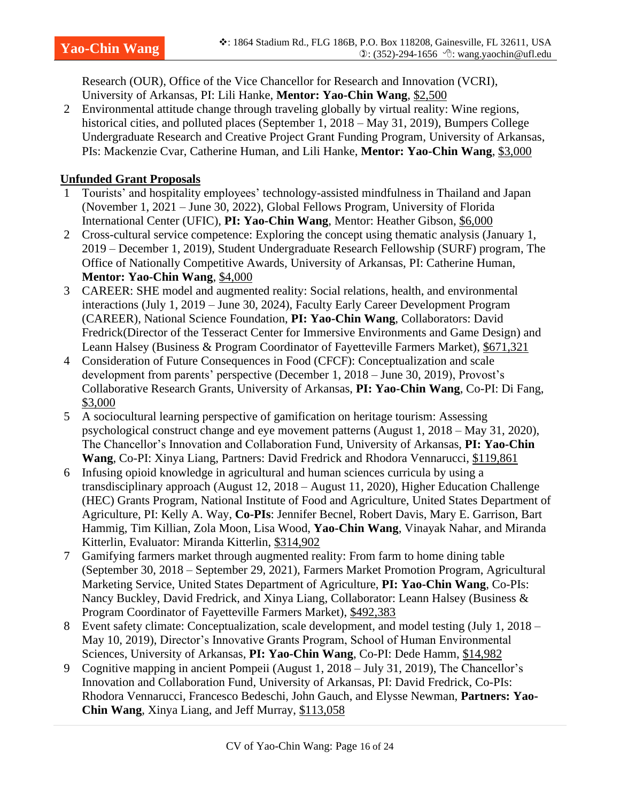Research (OUR), Office of the Vice Chancellor for Research and Innovation (VCRI), University of Arkansas, PI: Lili Hanke, **Mentor: Yao-Chin Wang**, \$2,500

2 Environmental attitude change through traveling globally by virtual reality: Wine regions, historical cities, and polluted places (September 1, 2018 – May 31, 2019), Bumpers College Undergraduate Research and Creative Project Grant Funding Program, University of Arkansas, PIs: Mackenzie Cvar, Catherine Human, and Lili Hanke, **Mentor: Yao-Chin Wang**, \$3,000

# **Unfunded Grant Proposals**

- 1 Tourists' and hospitality employees' technology-assisted mindfulness in Thailand and Japan (November 1, 2021 – June 30, 2022), Global Fellows Program, University of Florida International Center (UFIC), **PI: Yao-Chin Wang**, Mentor: Heather Gibson, \$6,000
- 2 Cross-cultural service competence: Exploring the concept using thematic analysis (January 1, 2019 – December 1, 2019), Student Undergraduate Research Fellowship (SURF) program, The Office of Nationally Competitive Awards, University of Arkansas, PI: Catherine Human, **Mentor: Yao-Chin Wang**, \$4,000
- 3 CAREER: SHE model and augmented reality: Social relations, health, and environmental interactions (July 1, 2019 – June 30, 2024), Faculty Early Career Development Program (CAREER), National Science Foundation, **PI: Yao-Chin Wang**, Collaborators: David Fredrick(Director of the Tesseract Center for Immersive Environments and Game Design) and Leann Halsey (Business & Program Coordinator of Fayetteville Farmers Market), \$671,321
- 4 Consideration of Future Consequences in Food (CFCF): Conceptualization and scale development from parents' perspective (December 1, 2018 – June 30, 2019), Provost's Collaborative Research Grants, University of Arkansas, **PI: Yao-Chin Wang**, Co-PI: Di Fang, \$3,000
- 5 A sociocultural learning perspective of gamification on heritage tourism: Assessing psychological construct change and eye movement patterns (August 1, 2018 – May 31, 2020), The Chancellor's Innovation and Collaboration Fund, University of Arkansas, **PI: Yao-Chin Wang**, Co-PI: Xinya Liang, Partners: David Fredrick and Rhodora Vennarucci, \$119,861
- 6 Infusing opioid knowledge in agricultural and human sciences curricula by using a transdisciplinary approach (August 12, 2018 – August 11, 2020), Higher Education Challenge (HEC) Grants Program, National Institute of Food and Agriculture, United States Department of Agriculture, PI: Kelly A. Way, **Co-PIs**: Jennifer Becnel, Robert Davis, Mary E. Garrison, Bart Hammig, Tim Killian, Zola Moon, Lisa Wood, **Yao-Chin Wang**, Vinayak Nahar, and Miranda Kitterlin, Evaluator: Miranda Kitterlin, \$314,902
- 7 Gamifying farmers market through augmented reality: From farm to home dining table (September 30, 2018 – September 29, 2021), Farmers Market Promotion Program, Agricultural Marketing Service, United States Department of Agriculture, **PI: Yao-Chin Wang**, Co-PIs: Nancy Buckley, David Fredrick, and Xinya Liang, Collaborator: Leann Halsey (Business & Program Coordinator of Fayetteville Farmers Market), \$492,383
- 8 Event safety climate: Conceptualization, scale development, and model testing (July 1, 2018 May 10, 2019), Director's Innovative Grants Program, School of Human Environmental Sciences, University of Arkansas, **PI: Yao-Chin Wang**, Co-PI: Dede Hamm, \$14,982
- 9 Cognitive mapping in ancient Pompeii (August 1, 2018 July 31, 2019), The Chancellor's Innovation and Collaboration Fund, University of Arkansas, PI: David Fredrick, Co-PIs: Rhodora Vennarucci, Francesco Bedeschi, John Gauch, and Elysse Newman, **Partners: Yao-Chin Wang**, Xinya Liang, and Jeff Murray, \$113,058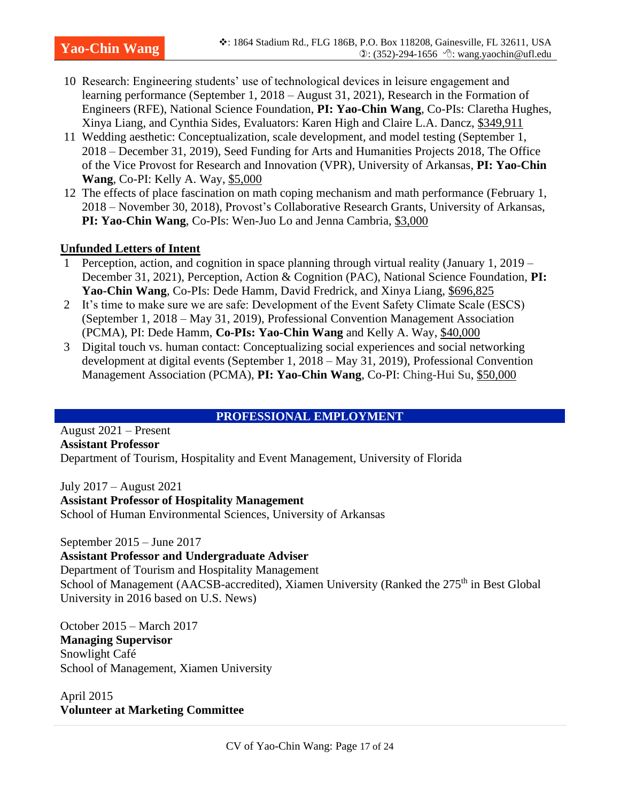- 10 Research: Engineering students' use of technological devices in leisure engagement and learning performance (September 1, 2018 – August 31, 2021), Research in the Formation of Engineers (RFE), National Science Foundation, **PI: Yao-Chin Wang**, Co-PIs: Claretha Hughes, Xinya Liang, and Cynthia Sides, Evaluators: Karen High and Claire L.A. Dancz, \$349,911
- 11 Wedding aesthetic: Conceptualization, scale development, and model testing (September 1, 2018 – December 31, 2019), Seed Funding for Arts and Humanities Projects 2018, The Office of the Vice Provost for Research and Innovation (VPR), University of Arkansas, **PI: Yao-Chin Wang**, Co-PI: Kelly A. Way, \$5,000
- 12 The effects of place fascination on math coping mechanism and math performance (February 1, 2018 – November 30, 2018), Provost's Collaborative Research Grants, University of Arkansas, **PI: Yao-Chin Wang**, Co-PIs: Wen-Juo Lo and Jenna Cambria, \$3,000

#### **Unfunded Letters of Intent**

- 1 Perception, action, and cognition in space planning through virtual reality (January 1, 2019 December 31, 2021), Perception, Action & Cognition (PAC), National Science Foundation, **PI: Yao-Chin Wang**, Co-PIs: Dede Hamm, David Fredrick, and Xinya Liang, \$696,825
- 2 It's time to make sure we are safe: Development of the Event Safety Climate Scale (ESCS) (September 1, 2018 – May 31, 2019), Professional Convention Management Association (PCMA), PI: Dede Hamm, **Co-PIs: Yao-Chin Wang** and Kelly A. Way, \$40,000
- 3 Digital touch vs. human contact: Conceptualizing social experiences and social networking development at digital events (September 1, 2018 – May 31, 2019), Professional Convention Management Association (PCMA), **PI: Yao-Chin Wang**, Co-PI: Ching-Hui Su, \$50,000

#### **PROFESSIONAL EMPLOYMENT**

August 2021 – Present **Assistant Professor**

Department of Tourism, Hospitality and Event Management, University of Florida

July 2017 – August 2021 **Assistant Professor of Hospitality Management** School of Human Environmental Sciences, University of Arkansas

September 2015 – June 2017

**Assistant Professor and Undergraduate Adviser** Department of Tourism and Hospitality Management School of Management (AACSB-accredited), Xiamen University (Ranked the 275<sup>th</sup> in Best Global University in 2016 based on U.S. News)

October 2015 – March 2017 **Managing Supervisor** Snowlight Café School of Management, Xiamen University

April 2015 **Volunteer at Marketing Committee**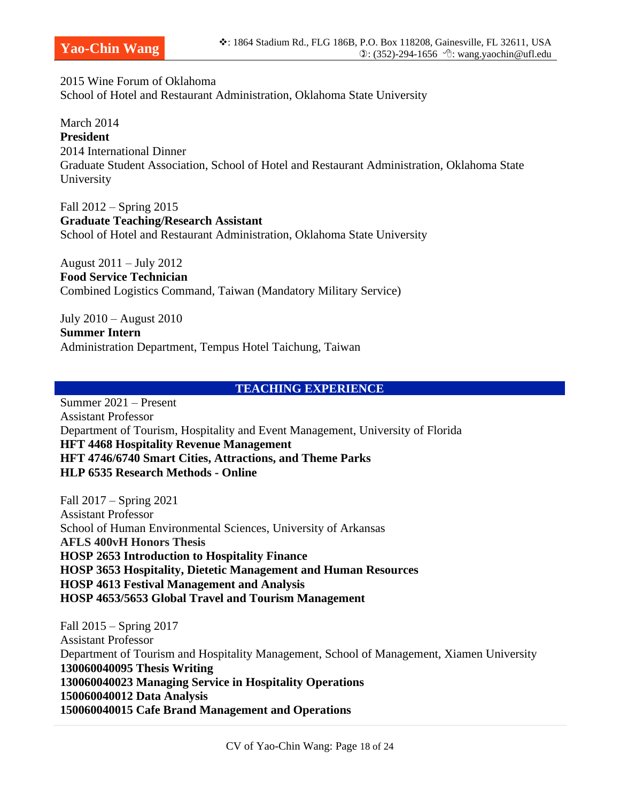2015 Wine Forum of Oklahoma School of Hotel and Restaurant Administration, Oklahoma State University

March 2014 **President** 2014 International Dinner Graduate Student Association, School of Hotel and Restaurant Administration, Oklahoma State University

Fall 2012 – Spring 2015 **Graduate Teaching/Research Assistant** School of Hotel and Restaurant Administration, Oklahoma State University

August 2011 – July 2012 **Food Service Technician** Combined Logistics Command, Taiwan (Mandatory Military Service)

July 2010 – August 2010 **Summer Intern** Administration Department, Tempus Hotel Taichung, Taiwan

#### **TEACHING EXPERIENCE**

Summer 2021 – Present Assistant Professor Department of Tourism, Hospitality and Event Management, University of Florida **HFT 4468 Hospitality Revenue Management HFT 4746/6740 Smart Cities, Attractions, and Theme Parks HLP 6535 Research Methods - Online**

Fall 2017 – Spring 2021 Assistant Professor School of Human Environmental Sciences, University of Arkansas **AFLS 400vH Honors Thesis HOSP 2653 Introduction to Hospitality Finance HOSP 3653 Hospitality, Dietetic Management and Human Resources HOSP 4613 Festival Management and Analysis HOSP 4653/5653 Global Travel and Tourism Management**

Fall 2015 – Spring 2017 Assistant Professor Department of Tourism and Hospitality Management, School of Management, Xiamen University **130060040095 Thesis Writing 130060040023 Managing Service in Hospitality Operations 150060040012 Data Analysis 150060040015 Cafe Brand Management and Operations**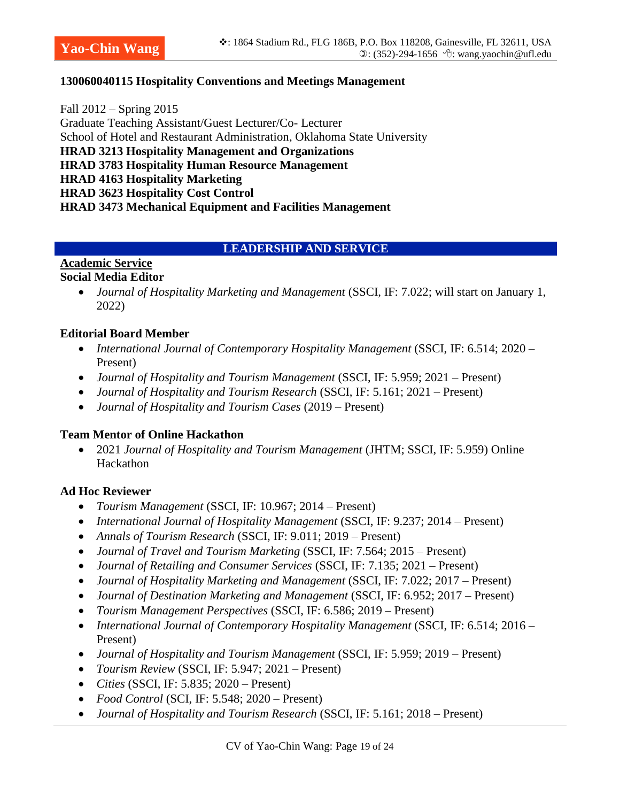#### **130060040115 Hospitality Conventions and Meetings Management**

Fall 2012 – Spring 2015 Graduate Teaching Assistant/Guest Lecturer/Co- Lecturer School of Hotel and Restaurant Administration, Oklahoma State University **HRAD 3213 Hospitality Management and Organizations HRAD 3783 Hospitality Human Resource Management HRAD 4163 Hospitality Marketing HRAD 3623 Hospitality Cost Control HRAD 3473 Mechanical Equipment and Facilities Management**

#### **LEADERSHIP AND SERVICE**

# **Academic Service**

#### **Social Media Editor**

• *Journal of Hospitality Marketing and Management* (SSCI, IF: 7.022; will start on January 1, 2022)

#### **Editorial Board Member**

- *International Journal of Contemporary Hospitality Management* (SSCI, IF: 6.514; 2020 Present)
- *Journal of Hospitality and Tourism Management* (SSCI, IF: 5.959; 2021 Present)
- *Journal of Hospitality and Tourism Research* (SSCI, IF: 5.161; 2021 Present)
- *Journal of Hospitality and Tourism Cases* (2019 Present)

#### **Team Mentor of Online Hackathon**

• 2021 *Journal of Hospitality and Tourism Management* (JHTM; SSCI, IF: 5.959) Online Hackathon

#### **Ad Hoc Reviewer**

- *Tourism Management* (SSCI, IF: 10.967; 2014 Present)
- *International Journal of Hospitality Management* (SSCI, IF: 9.237; 2014 Present)
- *Annals of Tourism Research* (SSCI, IF: 9.011; 2019 Present)
- *Journal of Travel and Tourism Marketing* (SSCI, IF: 7.564; 2015 Present)
- *Journal of Retailing and Consumer Services* (SSCI, IF: 7.135; 2021 Present)
- *Journal of Hospitality Marketing and Management* (SSCI, IF: 7.022; 2017 Present)
- *Journal of Destination Marketing and Management* (SSCI, IF: 6.952; 2017 Present)
- *Tourism Management Perspectives* (SSCI, IF: 6.586; 2019 Present)
- *International Journal of Contemporary Hospitality Management* (SSCI, IF: 6.514; 2016 Present)
- *Journal of Hospitality and Tourism Management* (SSCI, IF: 5.959; 2019 Present)
- *Tourism Review* (SSCI, IF: 5.947; 2021 Present)
- *Cities* (SSCI, IF: 5.835; 2020 Present)
- *Food Control* (SCI, IF: 5.548; 2020 Present)
- *Journal of Hospitality and Tourism Research* (SSCI, IF: 5.161; 2018 Present)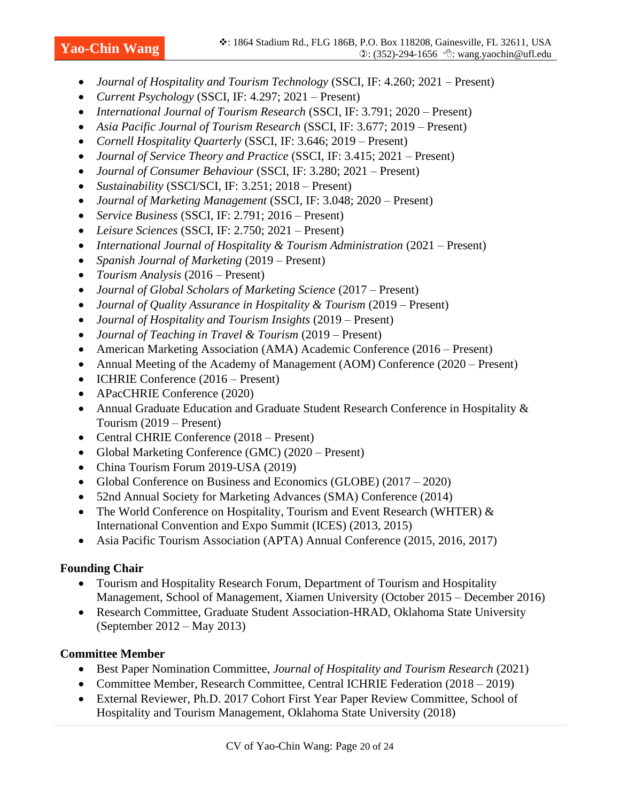- *Journal of Hospitality and Tourism Technology* (SSCI, IF: 4.260; 2021 Present)
- *Current Psychology* (SSCI, IF: 4.297; 2021 Present)
- *International Journal of Tourism Research* (SSCI, IF: 3.791; 2020 Present)
- *Asia Pacific Journal of Tourism Research* (SSCI, IF: 3.677; 2019 Present)
- *Cornell Hospitality Quarterly* (SSCI, IF: 3.646; 2019 Present)
- *Journal of Service Theory and Practice* (SSCI, IF: 3.415; 2021 Present)
- *Journal of Consumer Behaviour* (SSCI, IF: 3.280; 2021 Present)
- *Sustainability* (SSCI/SCI, IF: 3.251; 2018 Present)
- *Journal of Marketing Management* (SSCI, IF: 3.048; 2020 Present)
- *Service Business* (SSCI, IF: 2.791; 2016 Present)
- *Leisure Sciences* (SSCI, IF: 2.750; 2021 Present)
- *International Journal of Hospitality & Tourism Administration* (2021 Present)
- *Spanish Journal of Marketing* (2019 Present)
- *Tourism Analysis* (2016 Present)
- *Journal of Global Scholars of Marketing Science* (2017 Present)
- *Journal of Quality Assurance in Hospitality & Tourism* (2019 Present)
- *Journal of Hospitality and Tourism Insights* (2019 Present)
- *Journal of Teaching in Travel & Tourism* (2019 Present)
- American Marketing Association (AMA) Academic Conference (2016 Present)
- Annual Meeting of the Academy of Management (AOM) Conference (2020 Present)
- ICHRIE Conference (2016 Present)
- APacCHRIE Conference (2020)
- Annual Graduate Education and Graduate Student Research Conference in Hospitality & Tourism (2019 – Present)
- Central CHRIE Conference (2018 Present)
- Global Marketing Conference (GMC) (2020 Present)
- China Tourism Forum 2019-USA (2019)
- Global Conference on Business and Economics (GLOBE) (2017 2020)
- 52nd Annual Society for Marketing Advances (SMA) Conference (2014)
- The World Conference on Hospitality, Tourism and Event Research (WHTER)  $\&$ International Convention and Expo Summit (ICES) (2013, 2015)
- Asia Pacific Tourism Association (APTA) Annual Conference (2015, 2016, 2017)

# **Founding Chair**

- Tourism and Hospitality Research Forum, Department of Tourism and Hospitality Management, School of Management, Xiamen University (October 2015 – December 2016)
- Research Committee, Graduate Student Association-HRAD, Oklahoma State University (September 2012 – May 2013)

# **Committee Member**

- Best Paper Nomination Committee, *Journal of Hospitality and Tourism Research* (2021)
- Committee Member, Research Committee, Central ICHRIE Federation (2018 2019)
- External Reviewer, Ph.D. 2017 Cohort First Year Paper Review Committee, School of Hospitality and Tourism Management, Oklahoma State University (2018)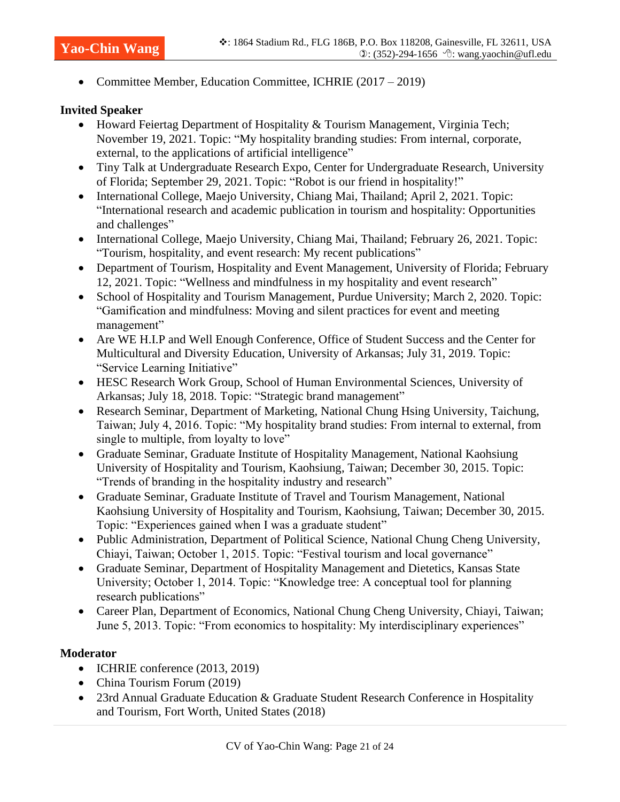• Committee Member, Education Committee, ICHRIE (2017 – 2019)

#### **Invited Speaker**

- Howard Feiertag Department of Hospitality & Tourism Management, Virginia Tech; November 19, 2021. Topic: "My hospitality branding studies: From internal, corporate, external, to the applications of artificial intelligence"
- Tiny Talk at Undergraduate Research Expo, Center for Undergraduate Research, University of Florida; September 29, 2021. Topic: "Robot is our friend in hospitality!"
- International College, Maejo University, Chiang Mai, Thailand; April 2, 2021. Topic: "International research and academic publication in tourism and hospitality: Opportunities and challenges"
- International College, Maejo University, Chiang Mai, Thailand; February 26, 2021. Topic: "Tourism, hospitality, and event research: My recent publications"
- Department of Tourism, Hospitality and Event Management, University of Florida; February 12, 2021. Topic: "Wellness and mindfulness in my hospitality and event research"
- School of Hospitality and Tourism Management, Purdue University; March 2, 2020. Topic: "Gamification and mindfulness: Moving and silent practices for event and meeting management"
- Are WE H.I.P and Well Enough Conference, Office of Student Success and the Center for Multicultural and Diversity Education, University of Arkansas; July 31, 2019. Topic: "Service Learning Initiative"
- HESC Research Work Group, School of Human Environmental Sciences, University of Arkansas; July 18, 2018. Topic: "Strategic brand management"
- Research Seminar, Department of Marketing, National Chung Hsing University, Taichung, Taiwan; July 4, 2016. Topic: "My hospitality brand studies: From internal to external, from single to multiple, from loyalty to love"
- Graduate Seminar, Graduate Institute of Hospitality Management, National Kaohsiung University of Hospitality and Tourism, Kaohsiung, Taiwan; December 30, 2015. Topic: "Trends of branding in the hospitality industry and research"
- Graduate Seminar, Graduate Institute of Travel and Tourism Management, National Kaohsiung University of Hospitality and Tourism, Kaohsiung, Taiwan; December 30, 2015. Topic: "Experiences gained when I was a graduate student"
- Public Administration, Department of Political Science, National Chung Cheng University, Chiayi, Taiwan; October 1, 2015. Topic: "Festival tourism and local governance"
- Graduate Seminar, Department of Hospitality Management and Dietetics, Kansas State University; October 1, 2014. Topic: "Knowledge tree: A conceptual tool for planning research publications"
- Career Plan, Department of Economics, National Chung Cheng University, Chiayi, Taiwan; June 5, 2013. Topic: "From economics to hospitality: My interdisciplinary experiences"

#### **Moderator**

- ICHRIE conference (2013, 2019)
- China Tourism Forum (2019)
- 23rd Annual Graduate Education & Graduate Student Research Conference in Hospitality and Tourism, Fort Worth, United States (2018)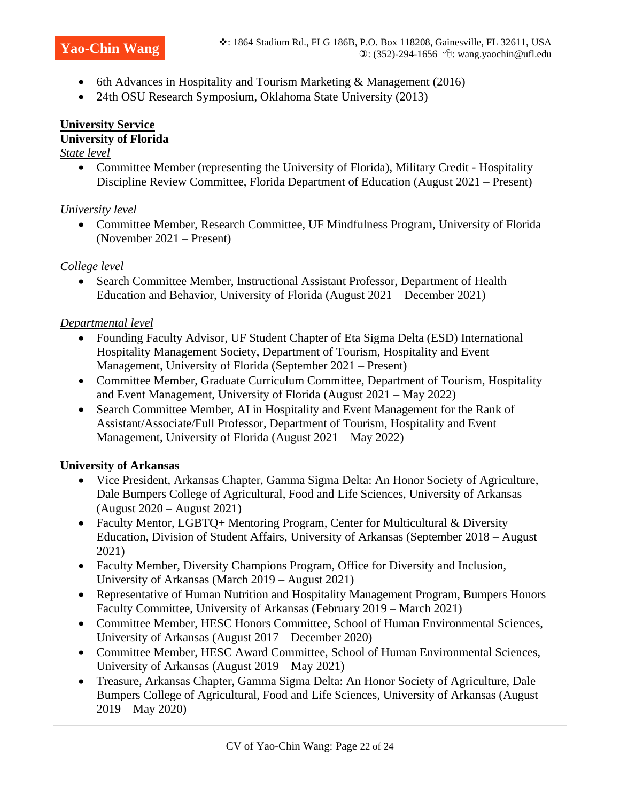- 6th Advances in Hospitality and Tourism Marketing & Management (2016)
- 24th OSU Research Symposium, Oklahoma State University (2013)

#### **University Service University of Florida**

#### *State level*

• Committee Member (representing the University of Florida), Military Credit - Hospitality Discipline Review Committee, Florida Department of Education (August 2021 – Present)

# *University level*

• Committee Member, Research Committee, UF Mindfulness Program, University of Florida (November 2021 – Present)

# *College level*

• Search Committee Member, Instructional Assistant Professor, Department of Health Education and Behavior, University of Florida (August 2021 – December 2021)

#### *Departmental level*

- Founding Faculty Advisor, UF Student Chapter of Eta Sigma Delta (ESD) International Hospitality Management Society, Department of Tourism, Hospitality and Event Management, University of Florida (September 2021 – Present)
- Committee Member, Graduate Curriculum Committee, Department of Tourism, Hospitality and Event Management, University of Florida (August 2021 – May 2022)
- Search Committee Member, AI in Hospitality and Event Management for the Rank of Assistant/Associate/Full Professor, Department of Tourism, Hospitality and Event Management, University of Florida (August 2021 – May 2022)

# **University of Arkansas**

- Vice President, Arkansas Chapter, Gamma Sigma Delta: An Honor Society of Agriculture, Dale Bumpers College of Agricultural, Food and Life Sciences, University of Arkansas (August 2020 – August 2021)
- Faculty Mentor, LGBTQ+ Mentoring Program, Center for Multicultural & Diversity Education, Division of Student Affairs, University of Arkansas (September 2018 – August 2021)
- Faculty Member, Diversity Champions Program, Office for Diversity and Inclusion, University of Arkansas (March 2019 – August 2021)
- Representative of Human Nutrition and Hospitality Management Program, Bumpers Honors Faculty Committee, University of Arkansas (February 2019 – March 2021)
- Committee Member, HESC Honors Committee, School of Human Environmental Sciences, University of Arkansas (August 2017 – December 2020)
- Committee Member, HESC Award Committee, School of Human Environmental Sciences, University of Arkansas (August 2019 – May 2021)
- Treasure, Arkansas Chapter, Gamma Sigma Delta: An Honor Society of Agriculture, Dale Bumpers College of Agricultural, Food and Life Sciences, University of Arkansas (August 2019 – May 2020)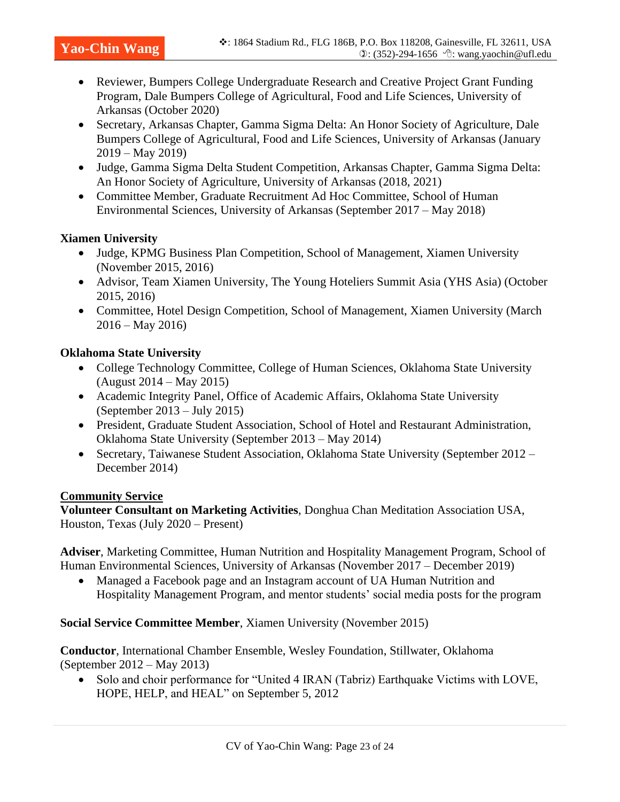- Reviewer, Bumpers College Undergraduate Research and Creative Project Grant Funding Program, Dale Bumpers College of Agricultural, Food and Life Sciences, University of Arkansas (October 2020)
- Secretary, Arkansas Chapter, Gamma Sigma Delta: An Honor Society of Agriculture, Dale Bumpers College of Agricultural, Food and Life Sciences, University of Arkansas (January 2019 – May 2019)
- Judge, Gamma Sigma Delta Student Competition, Arkansas Chapter, Gamma Sigma Delta: An Honor Society of Agriculture, University of Arkansas (2018, 2021)
- Committee Member, Graduate Recruitment Ad Hoc Committee, School of Human Environmental Sciences, University of Arkansas (September 2017 – May 2018)

#### **Xiamen University**

- Judge, KPMG Business Plan Competition, School of Management, Xiamen University (November 2015, 2016)
- Advisor, Team Xiamen University, The Young Hoteliers Summit Asia (YHS Asia) (October 2015, 2016)
- Committee, Hotel Design Competition, School of Management, Xiamen University (March  $2016 -$ May 2016)

#### **Oklahoma State University**

- College Technology Committee, College of Human Sciences, Oklahoma State University (August 2014 – May 2015)
- Academic Integrity Panel, Office of Academic Affairs, Oklahoma State University (September 2013 – July 2015)
- President, Graduate Student Association, School of Hotel and Restaurant Administration, Oklahoma State University (September 2013 – May 2014)
- Secretary, Taiwanese Student Association, Oklahoma State University (September 2012 December 2014)

#### **Community Service**

**Volunteer Consultant on Marketing Activities**, Donghua Chan Meditation Association USA, Houston, Texas (July 2020 – Present)

**Adviser**, Marketing Committee, Human Nutrition and Hospitality Management Program, School of Human Environmental Sciences, University of Arkansas (November 2017 – December 2019)

• Managed a Facebook page and an Instagram account of UA Human Nutrition and Hospitality Management Program, and mentor students' social media posts for the program

**Social Service Committee Member**, Xiamen University (November 2015)

**Conductor**, International Chamber Ensemble, Wesley Foundation, Stillwater, Oklahoma (September 2012 – May 2013)

• Solo and choir performance for "United 4 IRAN (Tabriz) Earthquake Victims with LOVE, HOPE, HELP, and HEAL" on September 5, 2012